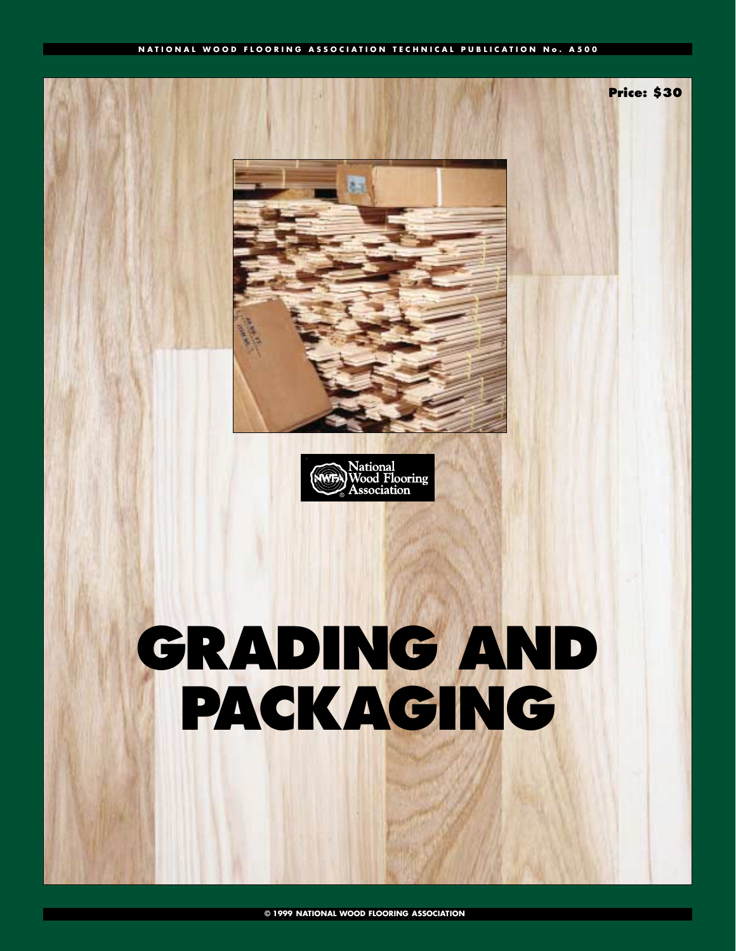#### **NATIONAL WOOD FLOORING ASSOCIATION TECHNICAL PUBLICATION No. A500**





# **GRADING AND PACKAGING**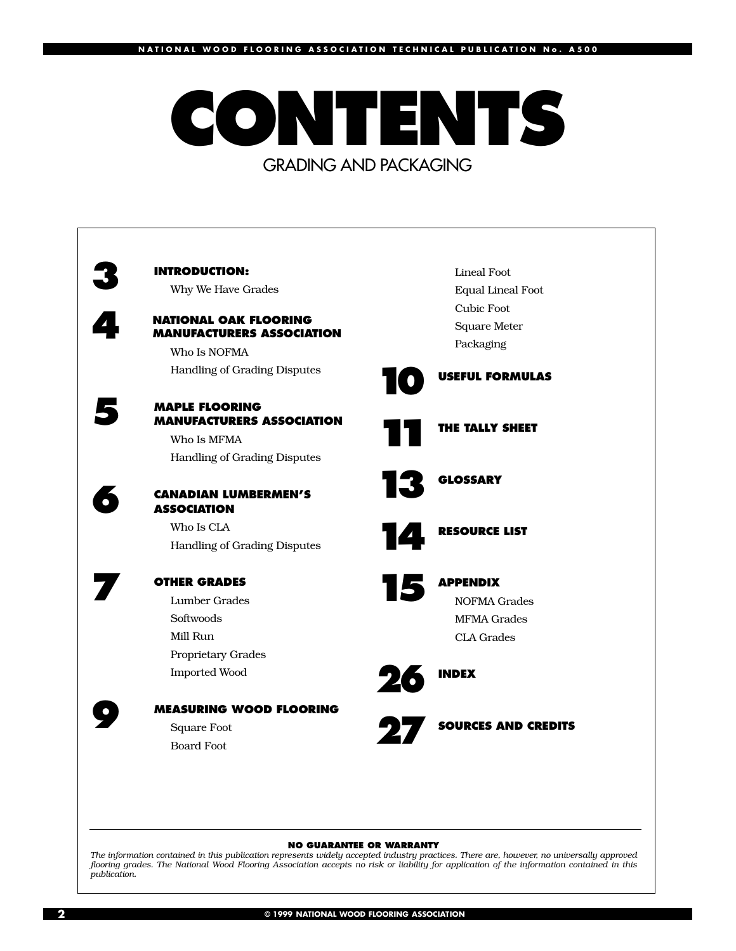## **CONTENTS** GRADING AND PACKAGING



Equal Lineal Foot Square Meter

NOFMA Grades MFMA Grades

**27 SOURCES AND CREDITS**

#### **NO GUARANTEE OR WARRANTY**

*The information contained in this publication represents widely accepted industry practices. There are, however, no universally approved flooring grades. The National Wood Flooring Association accepts no risk or liability for application of the information contained in this publication.*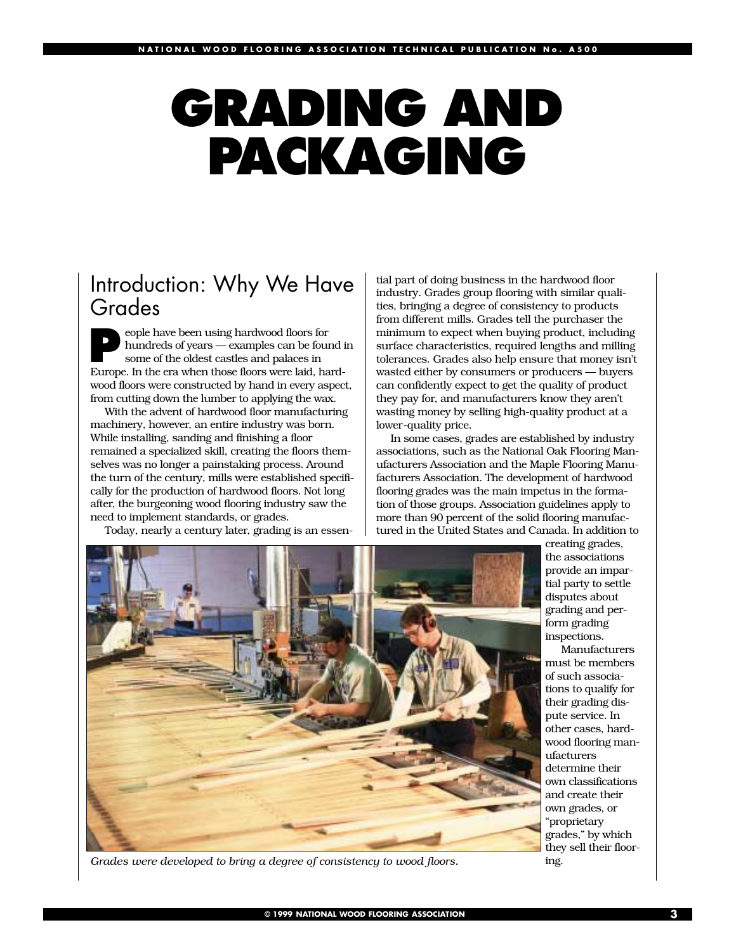# **GRADING AND PACKAGING**

## Introduction: Why We Have Grades

**People have been using hardwood floors for hundreds of years — examples can be four some of the oldest castles and palaces in** hundreds of years — examples can be found in Europe. In the era when those floors were laid, hardwood floors were constructed by hand in every aspect, from cutting down the lumber to applying the wax.

With the advent of hardwood floor manufacturing machinery, however, an entire industry was born. While installing, sanding and finishing a floor remained a specialized skill, creating the floors themselves was no longer a painstaking process. Around the turn of the century, mills were established specifically for the production of hardwood floors. Not long after, the burgeoning wood flooring industry saw the need to implement standards, or grades.

Today, nearly a century later, grading is an essen-

tial part of doing business in the hardwood floor industry. Grades group flooring with similar qualities, bringing a degree of consistency to products from different mills. Grades tell the purchaser the minimum to expect when buying product, including surface characteristics, required lengths and milling tolerances. Grades also help ensure that money isn't wasted either by consumers or producers — buyers can confidently expect to get the quality of product they pay for, and manufacturers know they aren't wasting money by selling high-quality product at a lower-quality price.

In some cases, grades are established by industry associations, such as the National Oak Flooring Manufacturers Association and the Maple Flooring Manufacturers Association. The development of hardwood flooring grades was the main impetus in the formation of those groups. Association guidelines apply to more than 90 percent of the solid flooring manufactured in the United States and Canada. In addition to



*Grades were developed to bring a degree of consistency to wood floors.*

creating grades, the associations provide an impartial party to settle disputes about grading and perform grading inspections.

Manufacturers must be members of such associations to qualify for their grading dispute service. In other cases, hardwood flooring manufacturers determine their own classifications and create their own grades, or "proprietary grades," by which they sell their flooring.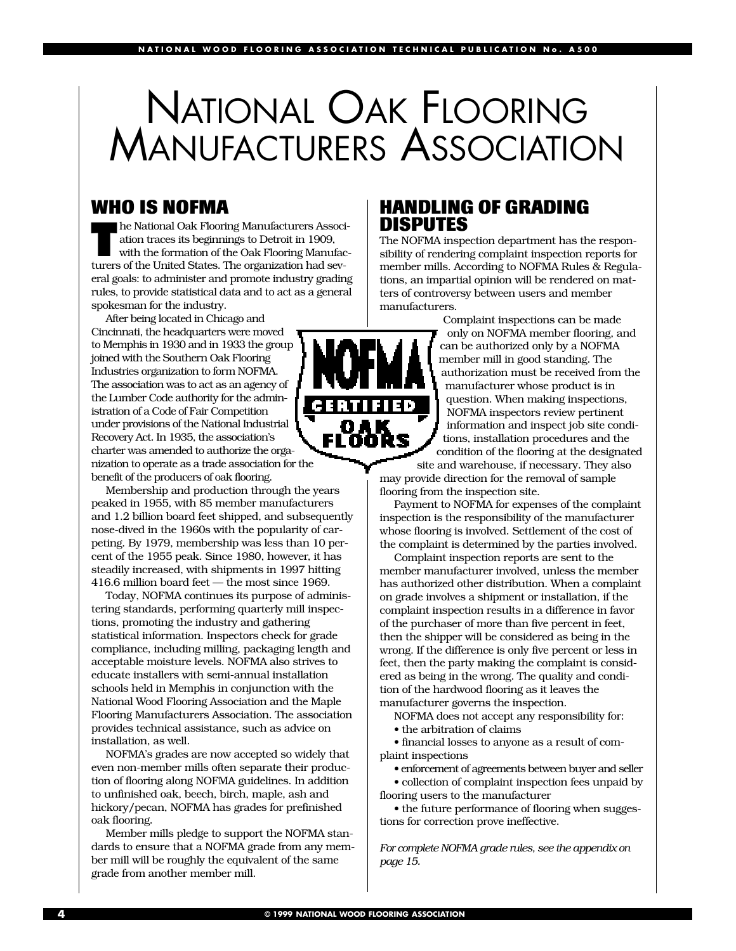## NATIONAL OAK FLOORING MANUFACTURERS ASSOCIATION

## **WHO IS NOFMA**

**The National Oak Flooring Manufacturers Association traces its beginnings to Detroit in 1909, with the formation of the Oak Flooring Manufacturers of the United States. The exponiention hed exp** ation traces its beginnings to Detroit in 1909, turers of the United States. The organization had several goals: to administer and promote industry grading rules, to provide statistical data and to act as a general spokesman for the industry.

After being located in Chicago and Cincinnati, the headquarters were moved to Memphis in 1930 and in 1933 the group joined with the Southern Oak Flooring Industries organization to form NOFMA. The association was to act as an agency of the Lumber Code authority for the administration of a Code of Fair Competition under provisions of the National Industrial Recovery Act. In 1935, the association's charter was amended to authorize the organization to operate as a trade association for the benefit of the producers of oak flooring.

Membership and production through the years peaked in 1955, with 85 member manufacturers and 1.2 billion board feet shipped, and subsequently nose-dived in the 1960s with the popularity of carpeting. By 1979, membership was less than 10 percent of the 1955 peak. Since 1980, however, it has steadily increased, with shipments in 1997 hitting 416.6 million board feet — the most since 1969.

Today, NOFMA continues its purpose of administering standards, performing quarterly mill inspections, promoting the industry and gathering statistical information. Inspectors check for grade compliance, including milling, packaging length and acceptable moisture levels. NOFMA also strives to educate installers with semi-annual installation schools held in Memphis in conjunction with the National Wood Flooring Association and the Maple Flooring Manufacturers Association. The association provides technical assistance, such as advice on installation, as well.

NOFMA's grades are now accepted so widely that even non-member mills often separate their production of flooring along NOFMA guidelines. In addition to unfinished oak, beech, birch, maple, ash and hickory/pecan, NOFMA has grades for prefinished oak flooring.

Member mills pledge to support the NOFMA standards to ensure that a NOFMA grade from any member mill will be roughly the equivalent of the same grade from another member mill.

## **HANDLING OF GRADING DISPUTES**

The NOFMA inspection department has the responsibility of rendering complaint inspection reports for member mills. According to NOFMA Rules & Regulations, an impartial opinion will be rendered on matters of controversy between users and member manufacturers.



Complaint inspections can be made only on NOFMA member flooring, and can be authorized only by a NOFMA member mill in good standing. The authorization must be received from the manufacturer whose product is in question. When making inspections, NOFMA inspectors review pertinent information and inspect job site conditions, installation procedures and the condition of the flooring at the designated

site and warehouse, if necessary. They also may provide direction for the removal of sample flooring from the inspection site.

Payment to NOFMA for expenses of the complaint inspection is the responsibility of the manufacturer whose flooring is involved. Settlement of the cost of the complaint is determined by the parties involved.

Complaint inspection reports are sent to the member manufacturer involved, unless the member has authorized other distribution. When a complaint on grade involves a shipment or installation, if the complaint inspection results in a difference in favor of the purchaser of more than five percent in feet, then the shipper will be considered as being in the wrong. If the difference is only five percent or less in feet, then the party making the complaint is considered as being in the wrong. The quality and condition of the hardwood flooring as it leaves the manufacturer governs the inspection.

NOFMA does not accept any responsibility for:

• the arbitration of claims

• financial losses to anyone as a result of complaint inspections

• enforcement of agreements between buyer and seller • collection of complaint inspection fees unpaid by flooring users to the manufacturer

• the future performance of flooring when suggestions for correction prove ineffective.

*For complete NOFMA grade rules, see the appendix on page 15.*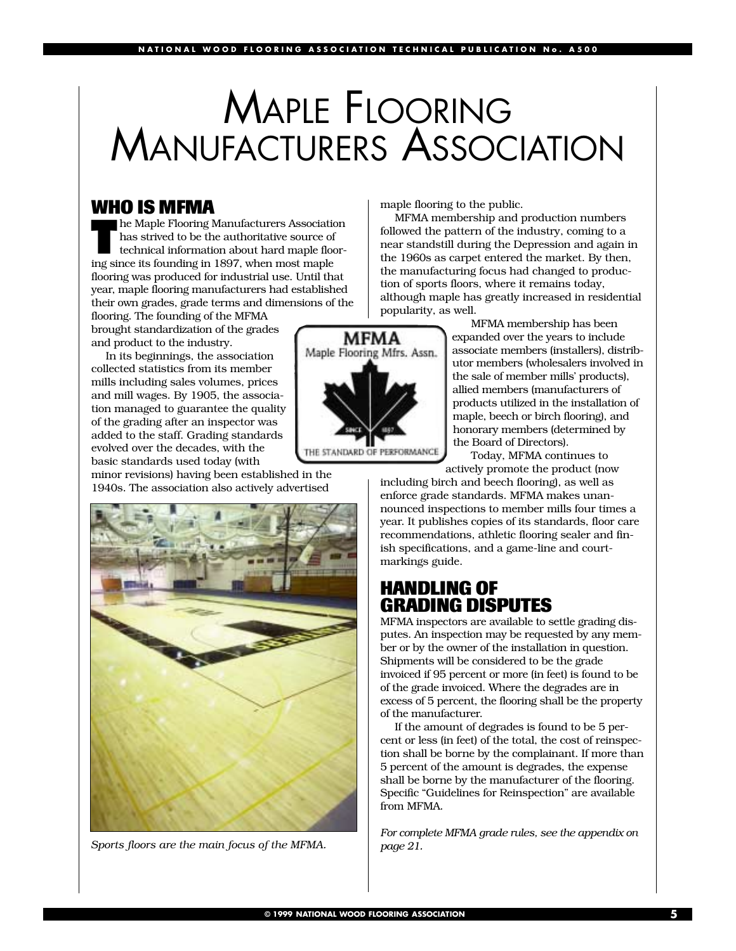## MAPLE FLOORING MANUFACTURERS ASSOCIATION

**WHO IS MFMA**<br>The Maple Flooring Manufacturers Association **The Maple Flooring Manufacturers Association**<br>has strived to be the authoritative source of<br>technical information about hard maple floor-<br>instance its founding in 1907, when most maple has strived to be the authoritative source of technical information about hard maple flooring since its founding in 1897, when most maple flooring was produced for industrial use. Until that year, maple flooring manufacturers had established their own grades, grade terms and dimensions of the flooring. The founding of the MFMA

brought standardization of the grades and product to the industry.

In its beginnings, the association collected statistics from its member mills including sales volumes, prices and mill wages. By 1905, the association managed to guarantee the quality of the grading after an inspector was added to the staff. Grading standards evolved over the decades, with the basic standards used today (with

minor revisions) having been established in the 1940s. The association also actively advertised



*Sports floors are the main focus of the MFMA.*

maple flooring to the public.

MFMA membership and production numbers followed the pattern of the industry, coming to a near standstill during the Depression and again in the 1960s as carpet entered the market. By then, the manufacturing focus had changed to production of sports floors, where it remains today, although maple has greatly increased in residential popularity, as well.

> MFMA membership has been expanded over the years to include associate members (installers), distributor members (wholesalers involved in the sale of member mills' products), allied members (manufacturers of products utilized in the installation of maple, beech or birch flooring), and honorary members (determined by the Board of Directors).

Today, MFMA continues to actively promote the product (now

including birch and beech flooring), as well as enforce grade standards. MFMA makes unannounced inspections to member mills four times a year. It publishes copies of its standards, floor care recommendations, athletic flooring sealer and finish specifications, and a game-line and courtmarkings guide.

## **HANDLING OF GRADING DISPUTES**

MFMA inspectors are available to settle grading disputes. An inspection may be requested by any member or by the owner of the installation in question. Shipments will be considered to be the grade invoiced if 95 percent or more (in feet) is found to be of the grade invoiced. Where the degrades are in excess of 5 percent, the flooring shall be the property of the manufacturer.

If the amount of degrades is found to be 5 percent or less (in feet) of the total, the cost of reinspection shall be borne by the complainant. If more than 5 percent of the amount is degrades, the expense shall be borne by the manufacturer of the flooring. Specific "Guidelines for Reinspection" are available from MFMA.

*For complete MFMA grade rules, see the appendix on page 21.*

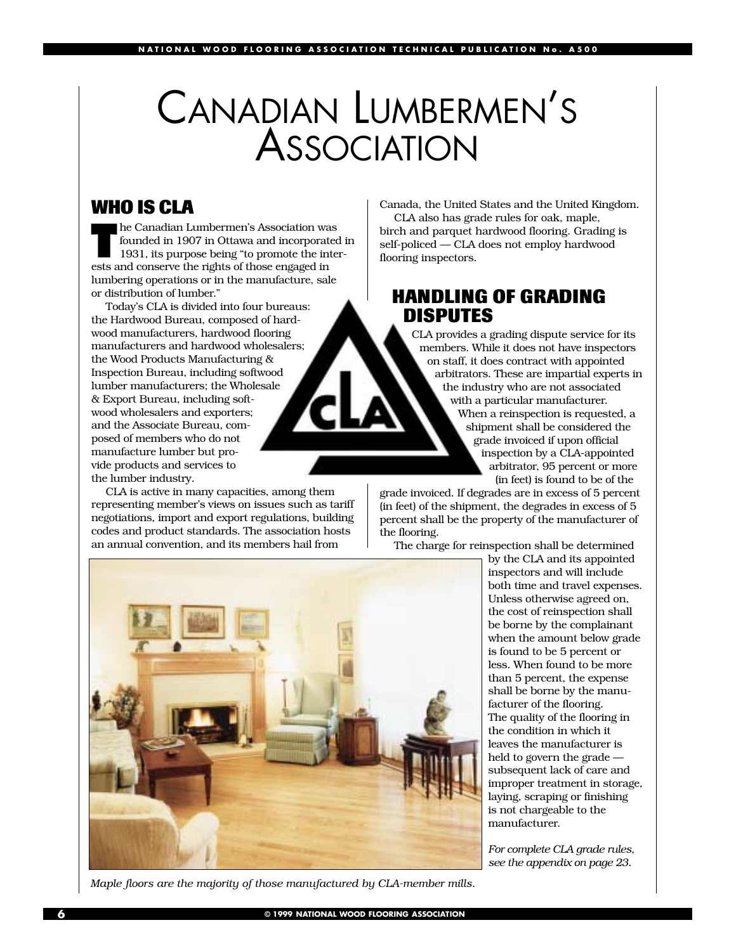## CANADIAN LUMBERMEN'S ASSOCIATION

## **WHO IS CLA**

**The Canadian Lumbermen's Association was<br>founded in 1907 in Ottawa and incorporate<br>1931, its purpose being "to promote the inte** founded in 1907 in Ottawa and incorporated in 1931, its purpose being "to promote the interests and conserve the rights of those engaged in lumbering operations or in the manufacture, sale or distribution of lumber."

Today's CLA is divided into four bureaus: the Hardwood Bureau, composed of hardwood manufacturers, hardwood flooring manufacturers and hardwood wholesalers; the Wood Products Manufacturing & Inspection Bureau, including softwood lumber manufacturers; the Wholesale & Export Bureau, including softwood wholesalers and exporters; and the Associate Bureau, composed of members who do not manufacture lumber but provide products and services to the lumber industry.

CLA is active in many capacities, among them representing member's views on issues such as tariff negotiations, import and export regulations, building codes and product standards. The association hosts an annual convention, and its members hail from

Canada, the United States and the United Kingdom. CLA also has grade rules for oak, maple,

birch and parquet hardwood flooring. Grading is self-policed — CLA does not employ hardwood flooring inspectors.

## **HANDLING OF GRADING DISPUTES**

CLA provides a grading dispute service for its members. While it does not have inspectors on staff, it does contract with appointed arbitrators. These are impartial experts in the industry who are not associated with a particular manufacturer. When a reinspection is requested, a shipment shall be considered the grade invoiced if upon official inspection by a CLA-appointed arbitrator, 95 percent or more (in feet) is found to be of the

grade invoiced. If degrades are in excess of 5 percent (in feet) of the shipment, the degrades in excess of 5 percent shall be the property of the manufacturer of the flooring.

The charge for reinspection shall be determined

by the CLA and its appointed inspectors and will include both time and travel expenses. Unless otherwise agreed on, the cost of reinspection shall be borne by the complainant when the amount below grade is found to be 5 percent or less. When found to be more than 5 percent, the expense shall be borne by the manufacturer of the flooring. The quality of the flooring in the condition in which it leaves the manufacturer is held to govern the grade subsequent lack of care and improper treatment in storage, laying, scraping or finishing is not chargeable to the manufacturer.

*For complete CLA grade rules, see the appendix on page 23.*



*Maple floors are the majority of those manufactured by CLA-member mills.*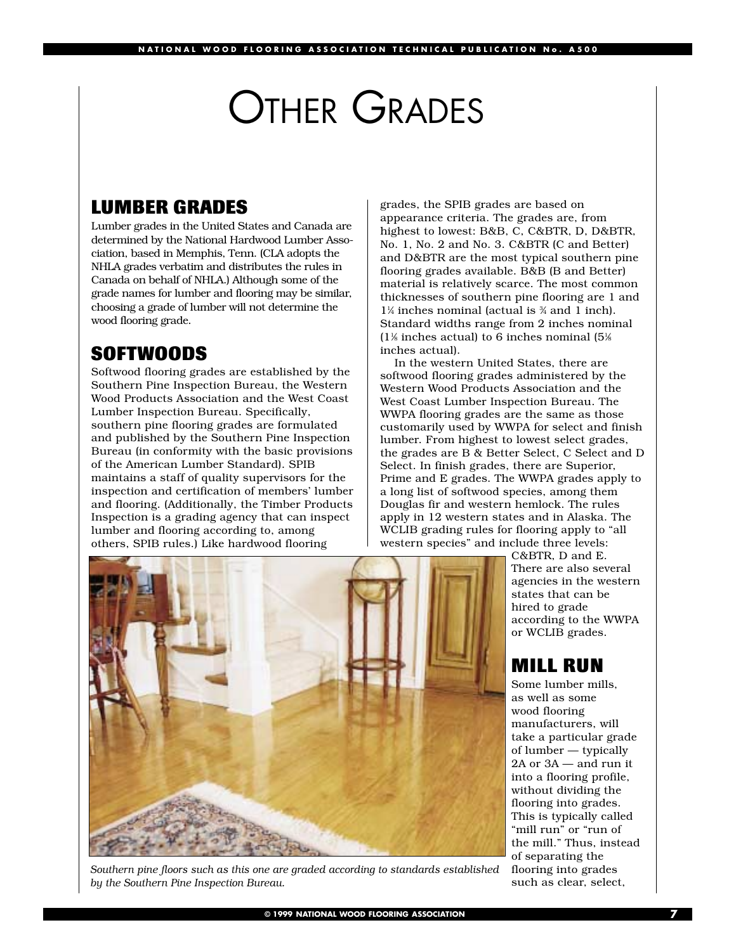## OTHER GRADES

## **LUMBER GRADES**

Lumber grades in the United States and Canada are determined by the National Hardwood Lumber Association, based in Memphis, Tenn. (CLA adopts the NHLA grades verbatim and distributes the rules in Canada on behalf of NHLA.) Although some of the grade names for lumber and flooring may be similar, choosing a grade of lumber will not determine the wood flooring grade.

## **SOFTWOODS**

Softwood flooring grades are established by the Southern Pine Inspection Bureau, the Western Wood Products Association and the West Coast Lumber Inspection Bureau. Specifically, southern pine flooring grades are formulated and published by the Southern Pine Inspection Bureau (in conformity with the basic provisions of the American Lumber Standard). SPIB maintains a staff of quality supervisors for the inspection and certification of members' lumber and flooring. (Additionally, the Timber Products Inspection is a grading agency that can inspect lumber and flooring according to, among others, SPIB rules.) Like hardwood flooring

grades, the SPIB grades are based on appearance criteria. The grades are, from highest to lowest: B&B, C, C&BTR, D, D&BTR, No. 1, No. 2 and No. 3. C&BTR (C and Better) and D&BTR are the most typical southern pine flooring grades available. B&B (B and Better) material is relatively scarce. The most common thicknesses of southern pine flooring are 1 and  $1\frac{1}{4}$  inches nominal (actual is  $\frac{3}{4}$  and 1 inch). Standard widths range from 2 inches nominal  $(1\% \text{ inches actual})$  to 6 inches nominal  $(5\%)$ inches actual).

In the western United States, there are softwood flooring grades administered by the Western Wood Products Association and the West Coast Lumber Inspection Bureau. The WWPA flooring grades are the same as those customarily used by WWPA for select and finish lumber. From highest to lowest select grades, the grades are B & Better Select, C Select and D Select. In finish grades, there are Superior, Prime and E grades. The WWPA grades apply to a long list of softwood species, among them Douglas fir and western hemlock. The rules apply in 12 western states and in Alaska. The WCLIB grading rules for flooring apply to "all western species" and include three levels:



*Southern pine floors such as this one are graded according to standards established by the Southern Pine Inspection Bureau.*

C&BTR, D and E. There are also several agencies in the western states that can be hired to grade according to the WWPA or WCLIB grades.

## **MILL RUN**

Some lumber mills, as well as some wood flooring manufacturers, will take a particular grade of lumber — typically 2A or 3A — and run it into a flooring profile, without dividing the flooring into grades. This is typically called "mill run" or "run of the mill." Thus, instead of separating the flooring into grades such as clear, select,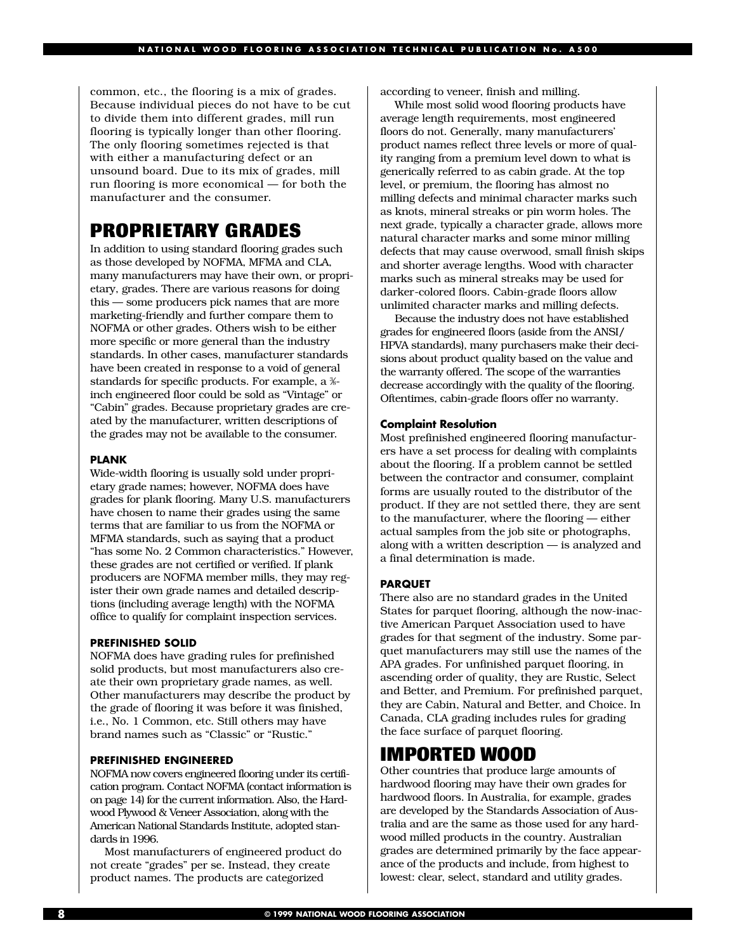common, etc., the flooring is a mix of grades. Because individual pieces do not have to be cut to divide them into different grades, mill run flooring is typically longer than other flooring. The only flooring sometimes rejected is that with either a manufacturing defect or an unsound board. Due to its mix of grades, mill run flooring is more economical — for both the manufacturer and the consumer.

## **PROPRIETARY GRADES**

In addition to using standard flooring grades such as those developed by NOFMA, MFMA and CLA, many manufacturers may have their own, or proprietary, grades. There are various reasons for doing this — some producers pick names that are more marketing-friendly and further compare them to NOFMA or other grades. Others wish to be either more specific or more general than the industry standards. In other cases, manufacturer standards have been created in response to a void of general standards for specific products. For example, a %inch engineered floor could be sold as "Vintage" or "Cabin" grades. Because proprietary grades are created by the manufacturer, written descriptions of the grades may not be available to the consumer.

#### **PLANK**

Wide-width flooring is usually sold under proprietary grade names; however, NOFMA does have grades for plank flooring. Many U.S. manufacturers have chosen to name their grades using the same terms that are familiar to us from the NOFMA or MFMA standards, such as saying that a product "has some No. 2 Common characteristics." However, these grades are not certified or verified. If plank producers are NOFMA member mills, they may register their own grade names and detailed descriptions (including average length) with the NOFMA office to qualify for complaint inspection services.

#### **PREFINISHED SOLID**

NOFMA does have grading rules for prefinished solid products, but most manufacturers also create their own proprietary grade names, as well. Other manufacturers may describe the product by the grade of flooring it was before it was finished, i.e., No. 1 Common, etc. Still others may have brand names such as "Classic" or "Rustic."

#### **PREFINISHED ENGINEERED**

NOFMA now covers engineered flooring under its certification program. Contact NOFMA (contact information is on page 14) for the current information. Also, the Hardwood Plywood & Veneer Association, along with the American National Standards Institute, adopted standards in 1996.

Most manufacturers of engineered product do not create "grades" per se. Instead, they create product names. The products are categorized

according to veneer, finish and milling.

While most solid wood flooring products have average length requirements, most engineered floors do not. Generally, many manufacturers' product names reflect three levels or more of quality ranging from a premium level down to what is generically referred to as cabin grade. At the top level, or premium, the flooring has almost no milling defects and minimal character marks such as knots, mineral streaks or pin worm holes. The next grade, typically a character grade, allows more natural character marks and some minor milling defects that may cause overwood, small finish skips and shorter average lengths. Wood with character marks such as mineral streaks may be used for darker-colored floors. Cabin-grade floors allow unlimited character marks and milling defects.

Because the industry does not have established grades for engineered floors (aside from the ANSI/ HPVA standards), many purchasers make their decisions about product quality based on the value and the warranty offered. The scope of the warranties decrease accordingly with the quality of the flooring. Oftentimes, cabin-grade floors offer no warranty.

#### **Complaint Resolution**

Most prefinished engineered flooring manufacturers have a set process for dealing with complaints about the flooring. If a problem cannot be settled between the contractor and consumer, complaint forms are usually routed to the distributor of the product. If they are not settled there, they are sent to the manufacturer, where the flooring — either actual samples from the job site or photographs, along with a written description — is analyzed and a final determination is made.

#### **PARQUET**

There also are no standard grades in the United States for parquet flooring, although the now-inactive American Parquet Association used to have grades for that segment of the industry. Some parquet manufacturers may still use the names of the APA grades. For unfinished parquet flooring, in ascending order of quality, they are Rustic, Select and Better, and Premium. For prefinished parquet, they are Cabin, Natural and Better, and Choice. In Canada, CLA grading includes rules for grading the face surface of parquet flooring.

## **IMPORTED WOOD**

Other countries that produce large amounts of hardwood flooring may have their own grades for hardwood floors. In Australia, for example, grades are developed by the Standards Association of Australia and are the same as those used for any hardwood milled products in the country. Australian grades are determined primarily by the face appearance of the products and include, from highest to lowest: clear, select, standard and utility grades.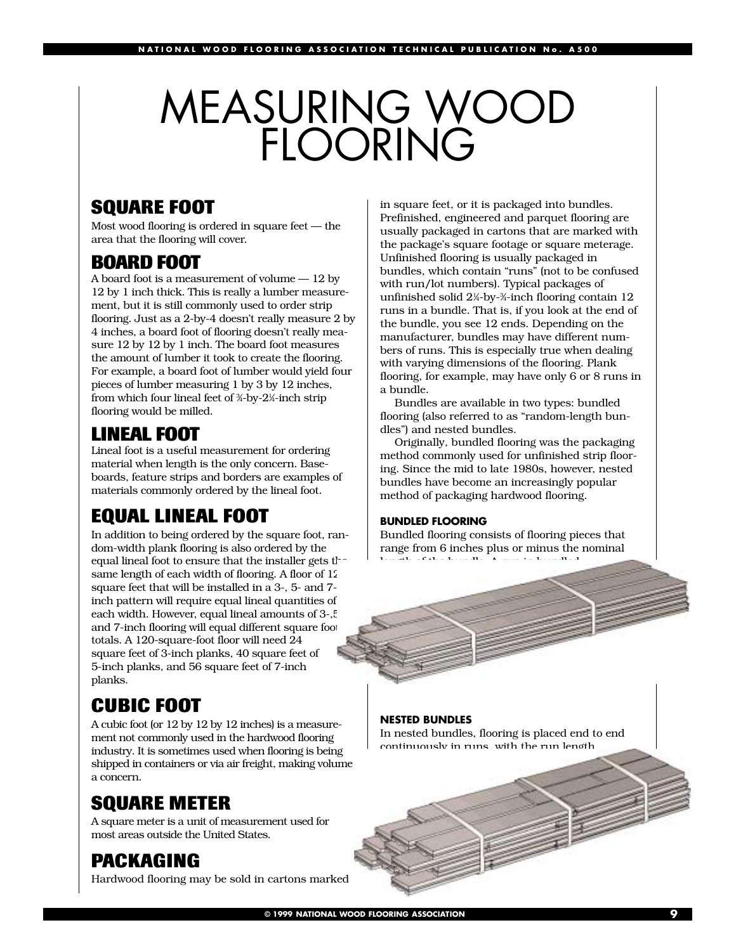## MEASURING WOOD FLOORING

## **SQUARE FOOT**

Most wood flooring is ordered in square feet — the area that the flooring will cover.

## **BOARD FOOT**

A board foot is a measurement of volume — 12 by 12 by 1 inch thick. This is really a lumber measurement, but it is still commonly used to order strip flooring. Just as a 2-by-4 doesn't really measure 2 by 4 inches, a board foot of flooring doesn't really measure 12 by 12 by 1 inch. The board foot measures the amount of lumber it took to create the flooring. For example, a board foot of lumber would yield four pieces of lumber measuring 1 by 3 by 12 inches, from which four lineal feet of ¾-by-2¼-inch strip flooring would be milled.

## **LINEAL FOOT**

Lineal foot is a useful measurement for ordering material when length is the only concern. Baseboards, feature strips and borders are examples of materials commonly ordered by the lineal foot.

## **EQUAL LINEAL FOOT**

In addition to being ordered by the square foot, random-width plank flooring is also ordered by the equal lineal foot to ensure that the installer gets the same length of each width of flooring. A floor of 12 square feet that will be installed in a 3-, 5- and 7 inch pattern will require equal lineal quantities of each width. However, equal lineal amounts of 3-,5 and 7-inch flooring will equal different square foot totals. A 120-square-foot floor will need 24 square feet of 3-inch planks, 40 square feet of 5-inch planks, and 56 square feet of 7-inch planks.

## **CUBIC FOOT**

A cubic foot (or 12 by 12 by 12 inches) is a measurement not commonly used in the hardwood flooring industry. It is sometimes used when flooring is being shipped in containers or via air freight, making volume a concern.

## **SQUARE METER**

A square meter is a unit of measurement used for most areas outside the United States.

## **PACKAGING**

Hardwood flooring may be sold in cartons marked

in square feet, or it is packaged into bundles. Prefinished, engineered and parquet flooring are usually packaged in cartons that are marked with the package's square footage or square meterage. Unfinished flooring is usually packaged in bundles, which contain "runs" (not to be confused with run/lot numbers). Typical packages of unfinished solid 21 ⁄4-by-3 ⁄4-inch flooring contain 12 runs in a bundle. That is, if you look at the end of the bundle, you see 12 ends. Depending on the manufacturer, bundles may have different numbers of runs. This is especially true when dealing with varying dimensions of the flooring. Plank flooring, for example, may have only 6 or 8 runs in a bundle.

Bundles are available in two types: bundled flooring (also referred to as "random-length bundles") and nested bundles.

Originally, bundled flooring was the packaging method commonly used for unfinished strip flooring. Since the mid to late 1980s, however, nested bundles have become an increasingly popular method of packaging hardwood flooring.

#### **BUNDLED FLOORING**

Bundled flooring consists of flooring pieces that range from 6 inches plus or minus the nominal length of the bundle. A run in bundled

#### **NESTED BUNDLES**

In nested bundles, flooring is placed end to end continuously in runs, with the run length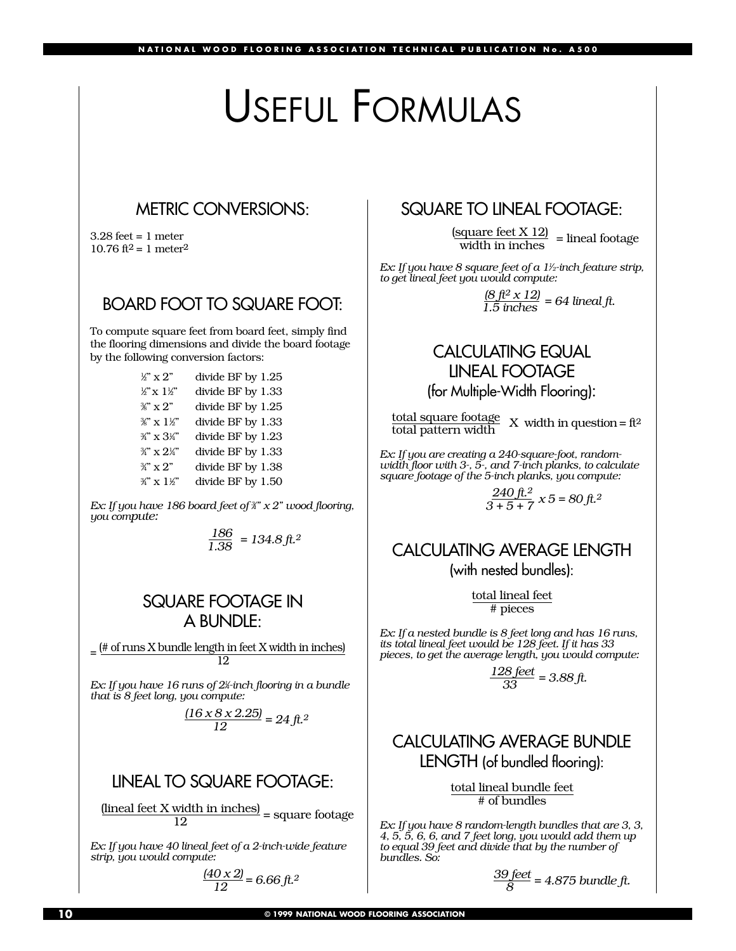## USEFUL FORMULAS

## METRIC CONVERSIONS:

 $3.28$  feet = 1 meter 10.76 ft<sup>2</sup> = 1 meter<sup>2</sup>

## BOARD FOOT TO SQUARE FOOT:

To compute square feet from board feet, simply find the flooring dimensions and divide the board footage by the following conversion factors:

| $\mathcal{L}$ " x 2"               | divide BF by 1.25 |
|------------------------------------|-------------------|
| $\mathcal{L} \times 1 \mathcal{L}$ | divide BF by 1.33 |
| $\frac{3}{2}$ " x 2"               | divide BF by 1.25 |
| $\mathscr{C} \times 1\mathscr{C}$  | divide BF by 1.33 |
| 34" x 314"                         | divide BF by 1.23 |
| $\frac{3}{4}$ " x $2\frac{1}{4}$ " | divide BF by 1.33 |
| $\frac{3}{2}$ " x 2"               | divide BF by 1.38 |
| $\frac{3}{4}$ x $1\frac{1}{2}$     | divide BF by 1.50 |

*Ex: If you have 186 board feet of 3 4⁄ " x 2" wood flooring, you compute:*

*186 1.38 = 134.8 ft.2*

## SQUARE FOOTAGE IN A BUNDLE:

 $=$  (# of runs X bundle length in feet X width in inches) 12

*Ex: If you have 16 runs of 21 4⁄ -inch flooring in a bundle that is 8 feet long, you compute:*

$$
\frac{(16 \times 8 \times 2.25)}{12} = 24 \text{ ft.}^2
$$

## LINEAL TO SQUARE FOOTAGE:

 $\frac{\mbox{(linear feet X width in inches)}}{\mbox{12}} = \mbox{square footage}$ 

*Ex: If you have 40 lineal feet of a 2-inch-wide feature strip, you would compute:*

$$
\frac{(40 \times 2)}{12} = 6.66 \text{ ft.}^2
$$

## SQUARE TO LINEAL FOOTAGE:

 $\frac{\text{(square feet X 12)}}{\text{width in inches}}$  = lineal footage

*Ex: If you have 8 square feet of a 11 ⁄ 2-inch feature strip, to get lineal feet you would compute:*

 $\frac{(8 \text{ ft}^2 \times 12)}{1.5 \text{ inches}} = 64 \text{ lineal ft}.$ 

## CALCULATING EQUAL LINEAL FOOTAGE

(for Multiple-Width Flooring):

total square footage<br>total pattern width X width in question = ft<sup>2</sup>

*Ex: If you are creating a 240-square-foot, randomwidth floor with 3-, 5-, and 7-inch planks, to calculate square footage of the 5-inch planks, you compute:*

$$
\frac{240 \text{ ft.}^2}{3+5+7} \times 5 = 80 \text{ ft.}^2
$$

## CALCULATING AVERAGE LENGTH (with nested bundles):

total lineal feet # pieces

*Ex: If a nested bundle is 8 feet long and has 16 runs, its total lineal feet would be 128 feet. If it has 33 pieces, to get the average length, you would compute:*

 $\frac{128 \text{ feet}}{33}$  = 3.88 ft.

## CALCULATING AVERAGE BUNDLE LENGTH (of bundled flooring):

total lineal bundle feet # of bundles

*Ex: If you have 8 random-length bundles that are 3, 3, 4, 5, 5, 6, 6, and 7 feet long, you would add them up to equal 39 feet and divide that by the number of bundles. So:* 

$$
\frac{39 \text{ feet}}{8} = 4.875 \text{ bundle ft.}
$$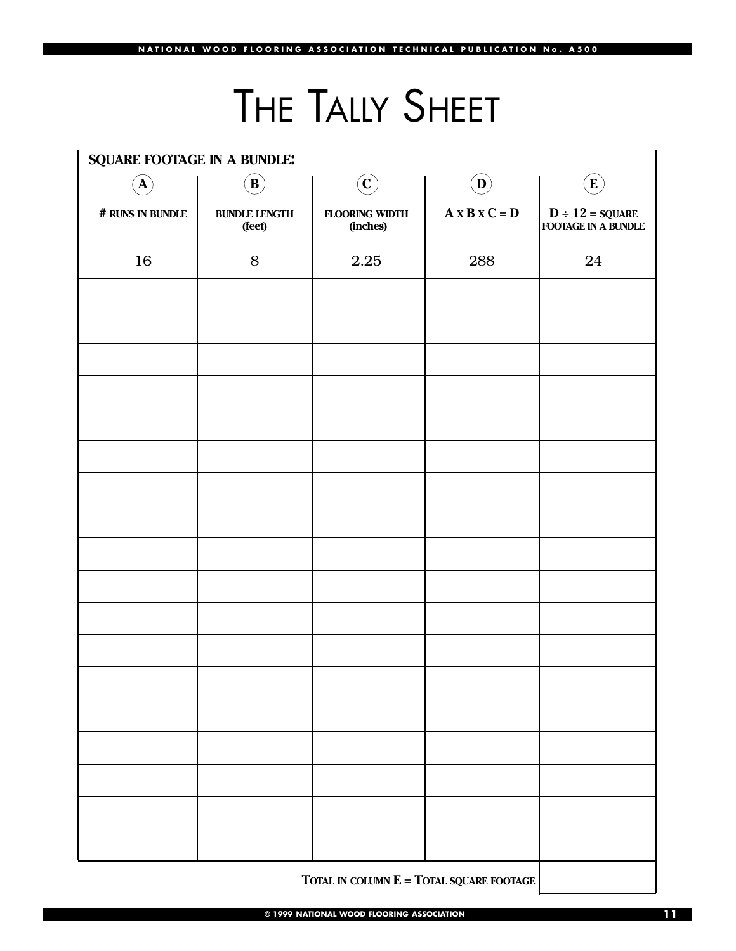# THE TALLY SHEET

| SQUARE FOOTAGE IN A BUNDLE: |                                |                                   |                                  |                                                 |
|-----------------------------|--------------------------------|-----------------------------------|----------------------------------|-------------------------------------------------|
| $\mathbf{A}$                | $\left( \mathbf{B}\right)$     | $\left( \mathbf{C}\right)$        | $\left  \mathbf{D}\right\rangle$ | $\bf{E}$                                        |
| # RUNS IN BUNDLE            | <b>BUNDLE LENGTH</b><br>(feet) | <b>FLOORING WIDTH</b><br>(inches) | $A \times B \times C = D$        | $D \div 12 = \text{SQUARE}$ FOOTAGE IN A BUNDLE |
| 16                          | $8\,$                          | 2.25                              | 288                              | 24                                              |
|                             |                                |                                   |                                  |                                                 |
|                             |                                |                                   |                                  |                                                 |
|                             |                                |                                   |                                  |                                                 |
|                             |                                |                                   |                                  |                                                 |
|                             |                                |                                   |                                  |                                                 |
|                             |                                |                                   |                                  |                                                 |
|                             |                                |                                   |                                  |                                                 |
|                             |                                |                                   |                                  |                                                 |
|                             |                                |                                   |                                  |                                                 |
|                             |                                |                                   |                                  |                                                 |
|                             |                                |                                   |                                  |                                                 |
|                             |                                |                                   |                                  |                                                 |
|                             |                                |                                   |                                  |                                                 |
|                             |                                |                                   |                                  |                                                 |
|                             |                                |                                   |                                  |                                                 |
|                             |                                |                                   |                                  |                                                 |
|                             |                                |                                   |                                  |                                                 |
|                             |                                |                                   |                                  |                                                 |
|                             |                                |                                   |                                  |                                                 |

**TOTAL IN COLUMN E = TOTAL SQUARE FOOTAGE**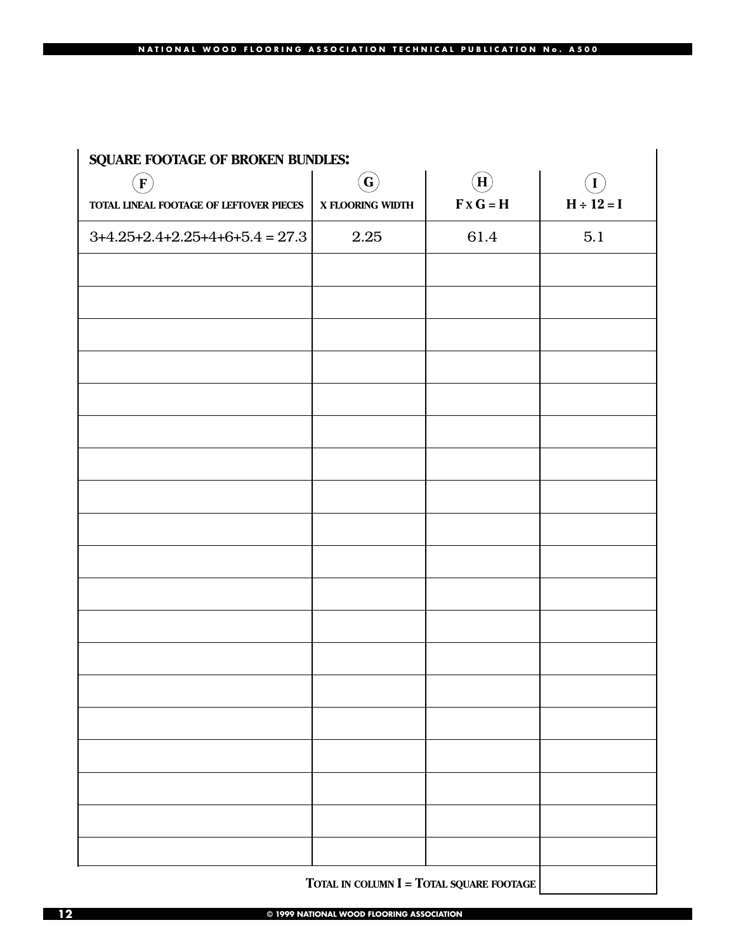#### **NATIONAL WOOD FLOORING ASSOCIATION TECHNICAL PUBLICATION No. A500**

| SQUARE FOOTAGE OF BROKEN BUNDLES:       |                            |                                             |                 |
|-----------------------------------------|----------------------------|---------------------------------------------|-----------------|
| $\left(\mathbf{F}\right)$               | $\left( \textbf{G}\right)$ | $\widehat{\mathbf{H}}$                      | $\mathbf I$     |
| TOTAL LINEAL FOOTAGE OF LEFTOVER PIECES | X FLOORING WIDTH           | $\mathbf{F} \times \mathbf{G} = \mathbf{H}$ | $H \div 12 = I$ |
| $3+4.25+2.4+2.25+4+6+5.4 = 27.3$        | 2.25                       | 61.4                                        | 5.1             |
|                                         |                            |                                             |                 |
|                                         |                            |                                             |                 |
|                                         |                            |                                             |                 |
|                                         |                            |                                             |                 |
|                                         |                            |                                             |                 |
|                                         |                            |                                             |                 |
|                                         |                            |                                             |                 |
|                                         |                            |                                             |                 |
|                                         |                            |                                             |                 |
|                                         |                            |                                             |                 |
|                                         |                            |                                             |                 |
|                                         |                            |                                             |                 |
|                                         |                            |                                             |                 |
|                                         |                            |                                             |                 |
|                                         |                            |                                             |                 |
|                                         |                            |                                             |                 |
|                                         |                            |                                             |                 |
|                                         |                            |                                             |                 |
|                                         |                            |                                             |                 |
|                                         |                            |                                             |                 |

**TOTAL IN COLUMN I = TOTAL SQUARE FOOTAGE**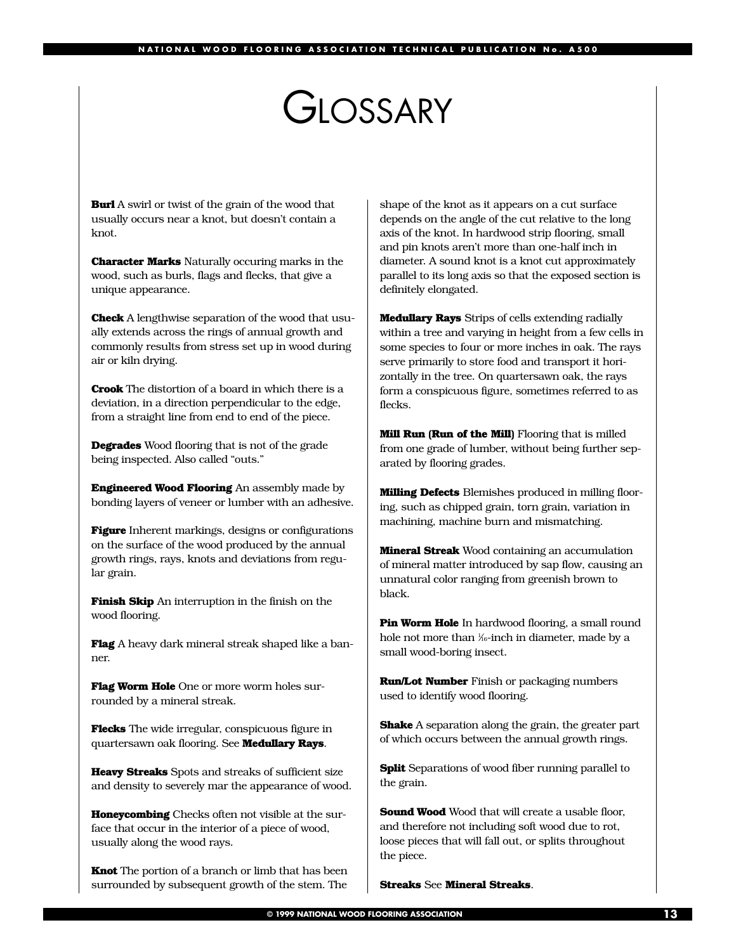## GIOSSARY

**Burl** A swirl or twist of the grain of the wood that usually occurs near a knot, but doesn't contain a knot.

**Character Marks** Naturally occuring marks in the wood, such as burls, flags and flecks, that give a unique appearance.

**Check** A lengthwise separation of the wood that usually extends across the rings of annual growth and commonly results from stress set up in wood during air or kiln drying.

**Crook** The distortion of a board in which there is a deviation, in a direction perpendicular to the edge, from a straight line from end to end of the piece.

**Degrades** Wood flooring that is not of the grade being inspected. Also called "outs."

**Engineered Wood Flooring** An assembly made by bonding layers of veneer or lumber with an adhesive.

**Figure** Inherent markings, designs or configurations on the surface of the wood produced by the annual growth rings, rays, knots and deviations from regular grain.

**Finish Skip** An interruption in the finish on the wood flooring.

**Flag** A heavy dark mineral streak shaped like a banner.

**Flag Worm Hole** One or more worm holes surrounded by a mineral streak.

**Flecks** The wide irregular, conspicuous figure in quartersawn oak flooring. See **Medullary Rays**.

**Heavy Streaks** Spots and streaks of sufficient size and density to severely mar the appearance of wood.

**Honeycombing** Checks often not visible at the surface that occur in the interior of a piece of wood, usually along the wood rays.

**Knot** The portion of a branch or limb that has been surrounded by subsequent growth of the stem. The

shape of the knot as it appears on a cut surface depends on the angle of the cut relative to the long axis of the knot. In hardwood strip flooring, small and pin knots aren't more than one-half inch in diameter. A sound knot is a knot cut approximately parallel to its long axis so that the exposed section is definitely elongated.

**Medullary Rays** Strips of cells extending radially within a tree and varying in height from a few cells in some species to four or more inches in oak. The rays serve primarily to store food and transport it horizontally in the tree. On quartersawn oak, the rays form a conspicuous figure, sometimes referred to as flecks.

**Mill Run (Run of the Mill)** Flooring that is milled from one grade of lumber, without being further separated by flooring grades.

**Milling Defects** Blemishes produced in milling flooring, such as chipped grain, torn grain, variation in machining, machine burn and mismatching.

**Mineral Streak** Wood containing an accumulation of mineral matter introduced by sap flow, causing an unnatural color ranging from greenish brown to black.

**Pin Worm Hole** In hardwood flooring, a small round hole not more than ¼-inch in diameter, made by a small wood-boring insect.

**Run/Lot Number** Finish or packaging numbers used to identify wood flooring.

**Shake** A separation along the grain, the greater part of which occurs between the annual growth rings.

**Split** Separations of wood fiber running parallel to the grain.

**Sound Wood** Wood that will create a usable floor. and therefore not including soft wood due to rot, loose pieces that will fall out, or splits throughout the piece.

**Streaks** See **Mineral Streaks**.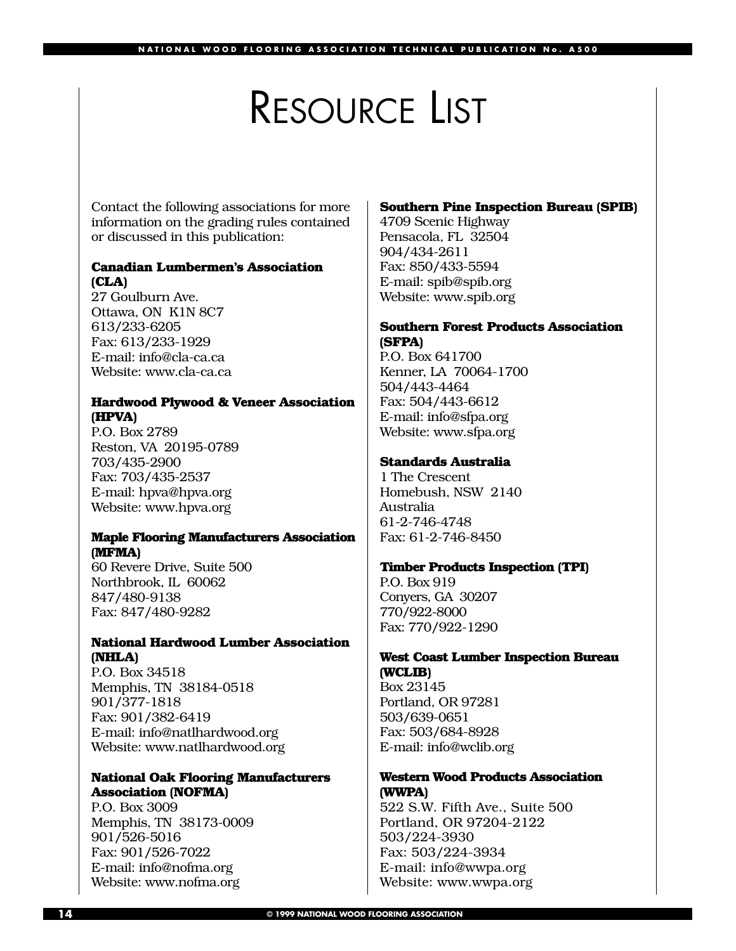## RESOURCE LIST

Contact the following associations for more information on the grading rules contained or discussed in this publication:

#### **Canadian Lumbermen's Association (CLA)**

27 Goulburn Ave. Ottawa, ON K1N 8C7 613/233-6205 Fax: 613/233-1929 E-mail: info@cla-ca.ca Website: www.cla-ca.ca

#### **Hardwood Plywood & Veneer Association (HPVA)**

P.O. Box 2789 Reston, VA 20195-0789 703/435-2900 Fax: 703/435-2537 E-mail: hpva@hpva.org Website: www.hpva.org

### **Maple Flooring Manufacturers Association (MFMA)**

60 Revere Drive, Suite 500 Northbrook, IL 60062 847/480-9138 Fax: 847/480-9282

### **National Hardwood Lumber Association (NHLA)**

P.O. Box 34518 Memphis, TN 38184-0518 901/377-1818 Fax: 901/382-6419 E-mail: info@natlhardwood.org Website: www.natlhardwood.org

#### **National Oak Flooring Manufacturers Association (NOFMA)**

P.O. Box 3009 Memphis, TN 38173-0009 901/526-5016 Fax: 901/526-7022 E-mail: info@nofma.org Website: www.nofma.org

#### **Southern Pine Inspection Bureau (SPIB)**

4709 Scenic Highway Pensacola, FL 32504 904/434-2611 Fax: 850/433-5594 E-mail: spib@spib.org Website: www.spib.org

#### **Southern Forest Products Association (SFPA)**

P.O. Box 641700 Kenner, LA 70064-1700 504/443-4464 Fax: 504/443-6612 E-mail: info@sfpa.org Website: www.sfpa.org

#### **Standards Australia**

1 The Crescent Homebush, NSW 2140 Australia 61-2-746-4748 Fax: 61-2-746-8450

#### **Timber Products Inspection (TPI)**

P.O. Box 919 Conyers, GA 30207 770/922-8000 Fax: 770/922-1290

#### **West Coast Lumber Inspection Bureau (WCLIB)**

Box 23145 Portland, OR 97281 503/639-0651 Fax: 503/684-8928 E-mail: info@wclib.org

#### **Western Wood Products Association (WWPA)**

522 S.W. Fifth Ave., Suite 500 Portland, OR 97204-2122 503/224-3930 Fax: 503/224-3934 E-mail: info@wwpa.org Website: www.wwpa.org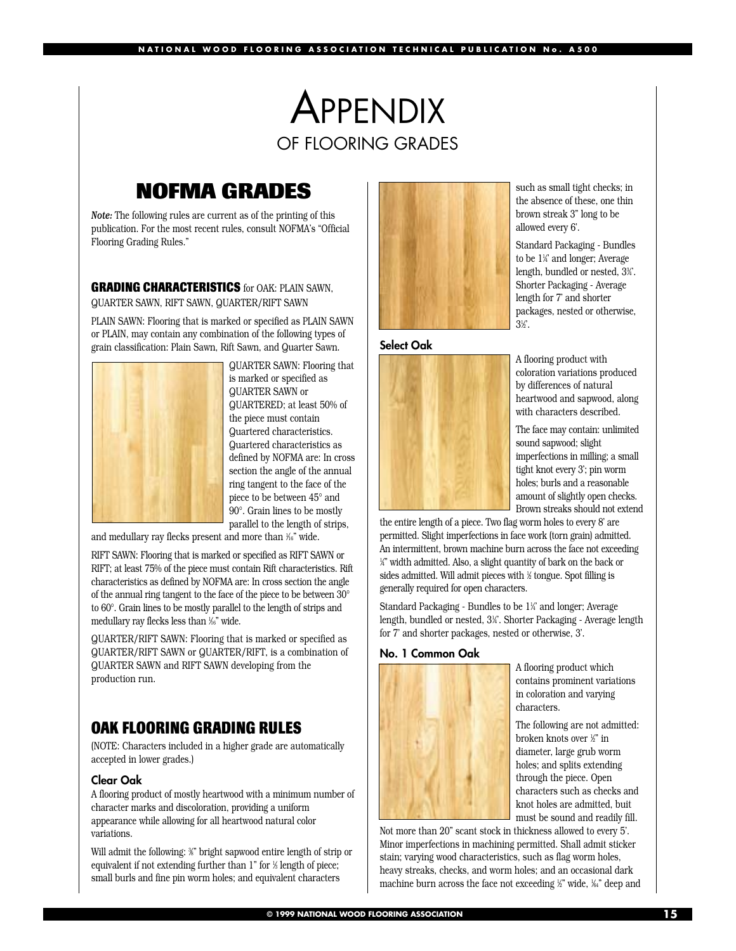## **APPENDIX** OF FLOORING GRADES

## **NOFMA GRADES**

*Note:* The following rules are current as of the printing of this publication. For the most recent rules, consult NOFMA's "Official Flooring Grading Rules."

**GRADING CHARACTERISTICS** for OAK: PLAIN SAWN, QUARTER SAWN, RIFT SAWN, QUARTER/RIFT SAWN

PLAIN SAWN: Flooring that is marked or specified as PLAIN SAWN or PLAIN, may contain any combination of the following types of grain classification: Plain Sawn, Rift Sawn, and Quarter Sawn.



QUARTER SAWN: Flooring that is marked or specified as QUARTER SAWN or QUARTERED; at least 50% of the piece must contain Quartered characteristics. Quartered characteristics as defined by NOFMA are: In cross section the angle of the annual ring tangent to the face of the piece to be between 45° and 90°. Grain lines to be mostly parallel to the length of strips,

and medullary ray flecks present and more than 1 ⁄16" wide.

RIFT SAWN: Flooring that is marked or specified as RIFT SAWN or RIFT; at least 75% of the piece must contain Rift characteristics. Rift characteristics as defined by NOFMA are: In cross section the angle of the annual ring tangent to the face of the piece to be between 30° to 60°. Grain lines to be mostly parallel to the length of strips and medullary ray flecks less than 1 ⁄16" wide.

QUARTER/RIFT SAWN: Flooring that is marked or specified as QUARTER/RIFT SAWN or QUARTER/RIFT, is a combination of QUARTER SAWN and RIFT SAWN developing from the production run.

## **OAK FLOORING GRADING RULES**

(NOTE: Characters included in a higher grade are automatically accepted in lower grades.)

#### **Clear Oak**

A flooring product of mostly heartwood with a minimum number of character marks and discoloration, providing a uniform appearance while allowing for all heartwood natural color variations.

Will admit the following: ¾" bright sapwood entire length of strip or equivalent if not extending further than 1" for ½ length of piece; small burls and fine pin worm holes; and equivalent characters



#### **Select Oak**



such as small tight checks; in the absence of these, one thin brown streak 3" long to be allowed every 6'.

Standard Packaging - Bundles to be 1¼' and longer; Average length, bundled or nested, 33 ⁄4'. Shorter Packaging - Average length for 7' and shorter packages, nested or otherwise,  $3\%$ .

A flooring product with coloration variations produced by differences of natural heartwood and sapwood, along with characters described.

The face may contain: unlimited sound sapwood; slight imperfections in milling; a small tight knot every 3'; pin worm holes; burls and a reasonable amount of slightly open checks. Brown streaks should not extend

the entire length of a piece. Two flag worm holes to every 8' are permitted. Slight imperfections in face work (torn grain) admitted. An intermittent, brown machine burn across the face not exceeding 1 ⁄4" width admitted. Also, a slight quantity of bark on the back or sides admitted. Will admit pieces with 1 ⁄2 tongue. Spot filling is generally required for open characters.

Standard Packaging - Bundles to be 1¼' and longer; Average length, bundled or nested, 31 ⁄4'. Shorter Packaging - Average length for 7' and shorter packages, nested or otherwise, 3'.

#### **No. 1 Common Oak**



A flooring product which contains prominent variations in coloration and varying characters.

The following are not admitted: broken knots over 1 ⁄2" in diameter, large grub worm holes; and splits extending through the piece. Open characters such as checks and knot holes are admitted, buit must be sound and readily fill.

Not more than 20" scant stock in thickness allowed to every 5'. Minor imperfections in machining permitted. Shall admit sticker stain; varying wood characteristics, such as flag worm holes, heavy streaks, checks, and worm holes; and an occasional dark machine burn across the face not exceeding 1 ⁄2" wide, 1 ⁄64" deep and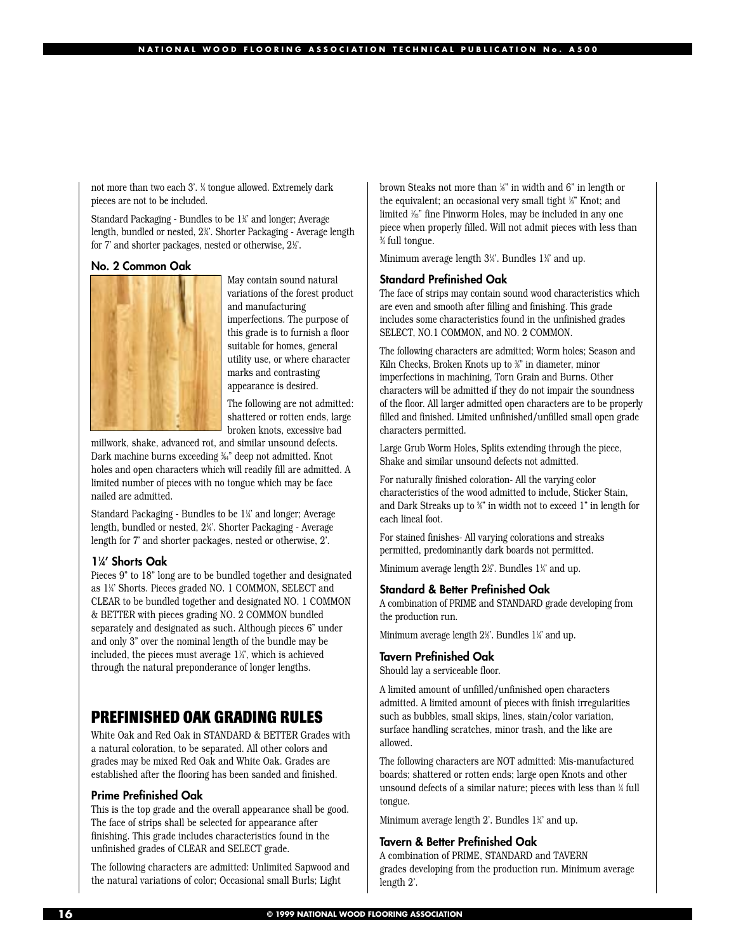not more than two each 3'. 1 ⁄4 tongue allowed. Extremely dark pieces are not to be included.

Standard Packaging - Bundles to be 1¼' and longer; Average length, bundled or nested, 23 ⁄4'. Shorter Packaging - Average length for 7' and shorter packages, nested or otherwise, 2½'.

#### **No. 2 Common Oak**



May contain sound natural variations of the forest product and manufacturing imperfections. The purpose of this grade is to furnish a floor suitable for homes, general utility use, or where character marks and contrasting appearance is desired.

The following are not admitted: shattered or rotten ends, large broken knots, excessive bad

millwork, shake, advanced rot, and similar unsound defects. Dark machine burns exceeding 3 ⁄64" deep not admitted. Knot holes and open characters which will readily fill are admitted. A limited number of pieces with no tongue which may be face nailed are admitted.

Standard Packaging - Bundles to be 11 ⁄4' and longer; Average length, bundled or nested, 2¼'. Shorter Packaging - Average length for 7' and shorter packages, nested or otherwise, 2'.

#### **11 ⁄4' Shorts Oak**

Pieces 9" to 18" long are to be bundled together and designated as 1¼ Shorts. Pieces graded NO. 1 COMMON, SELECT and CLEAR to be bundled together and designated NO. 1 COMMON & BETTER with pieces grading NO. 2 COMMON bundled separately and designated as such. Although pieces 6" under and only 3" over the nominal length of the bundle may be included, the pieces must average 11 ⁄4', which is achieved through the natural preponderance of longer lengths.

## **PREFINISHED OAK GRADING RULES**

White Oak and Red Oak in STANDARD & BETTER Grades with a natural coloration, to be separated. All other colors and grades may be mixed Red Oak and White Oak. Grades are established after the flooring has been sanded and finished.

#### **Prime Prefinished Oak**

This is the top grade and the overall appearance shall be good. The face of strips shall be selected for appearance after finishing. This grade includes characteristics found in the unfinished grades of CLEAR and SELECT grade.

The following characters are admitted: Unlimited Sapwood and the natural variations of color; Occasional small Burls; Light

brown Steaks not more than 1 ⁄8" in width and 6" in length or the equivalent; an occasional very small tight 1 ⁄8" Knot; and limited 1 ⁄32" fine Pinworm Holes, may be included in any one piece when properly filled. Will not admit pieces with less than 3 ⁄4 full tongue.

Minimum average length 3¼'. Bundles 1¼' and up.

#### **Standard Prefinished Oak**

The face of strips may contain sound wood characteristics which are even and smooth after filling and finishing. This grade includes some characteristics found in the unfinished grades SELECT, NO.1 COMMON, and NO. 2 COMMON.

The following characters are admitted; Worm holes; Season and Kiln Checks, Broken Knots up to ¾" in diameter, minor imperfections in machining, Torn Grain and Burns. Other characters will be admitted if they do not impair the soundness of the floor. All larger admitted open characters are to be properly filled and finished. Limited unfinished/unfilled small open grade characters permitted.

Large Grub Worm Holes, Splits extending through the piece, Shake and similar unsound defects not admitted.

For naturally finished coloration- All the varying color characteristics of the wood admitted to include, Sticker Stain, and Dark Streaks up to %" in width not to exceed 1" in length for each lineal foot.

For stained finishes- All varying colorations and streaks permitted, predominantly dark boards not permitted.

Minimum average length 2½'. Bundles 1¼' and up.

#### **Standard & Better Prefinished Oak**

A combination of PRIME and STANDARD grade developing from the production run.

Minimum average length 2½'. Bundles 1¼' and up.

#### **Tavern Prefinished Oak**

Should lay a serviceable floor.

A limited amount of unfilled/unfinished open characters admitted. A limited amount of pieces with finish irregularities such as bubbles, small skips, lines, stain/color variation, surface handling scratches, minor trash, and the like are allowed.

The following characters are NOT admitted: Mis-manufactured boards; shattered or rotten ends; large open Knots and other unsound defects of a similar nature; pieces with less than ¼ full tongue.

Minimum average length 2'. Bundles 1¼' and up.

#### **Tavern & Better Prefinished Oak**

A combination of PRIME, STANDARD and TAVERN grades developing from the production run. Minimum average length 2'.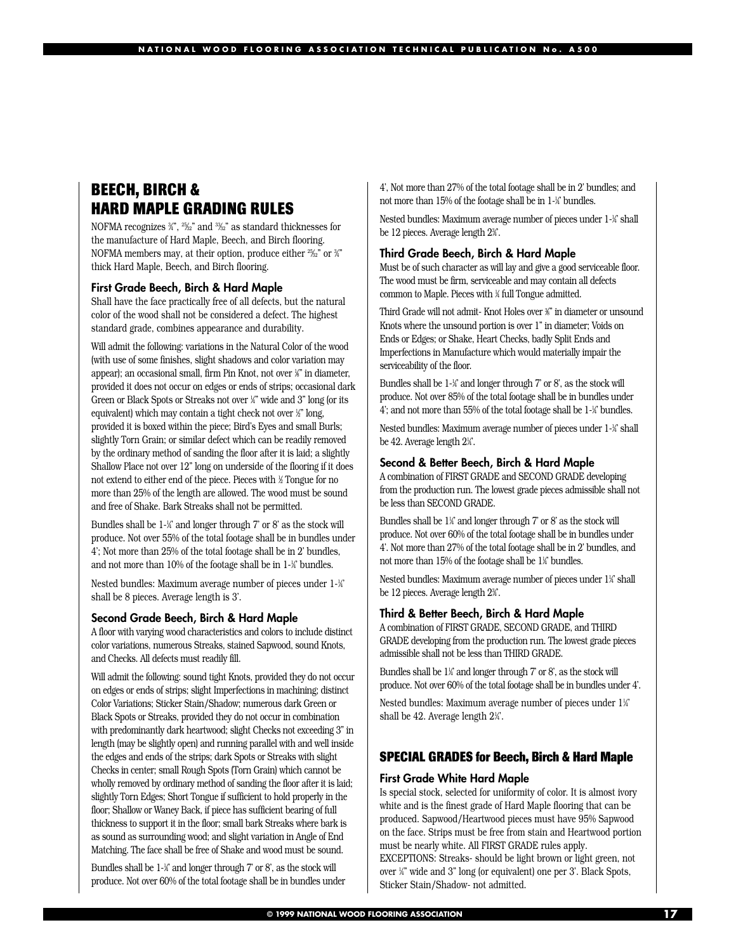## **BEECH, BIRCH & HARD MAPLE GRADING RULES**

NOFMA recognizes ¾", 2½" and 3½" as standard thicknesses for the manufacture of Hard Maple, Beech, and Birch flooring. NOFMA members may, at their option, produce either <sup>25</sup>⁄2" or ¾ thick Hard Maple, Beech, and Birch flooring.

#### **First Grade Beech, Birch & Hard Maple**

Shall have the face practically free of all defects, but the natural color of the wood shall not be considered a defect. The highest standard grade, combines appearance and durability.

Will admit the following: variations in the Natural Color of the wood (with use of some finishes, slight shadows and color variation may appear); an occasional small, firm Pin Knot, not over ½" in diameter, provided it does not occur on edges or ends of strips; occasional dark Green or Black Spots or Streaks not over 1 ⁄4" wide and 3" long (or its equivalent) which may contain a tight check not over 1 ⁄2" long, provided it is boxed within the piece; Bird's Eyes and small Burls; slightly Torn Grain; or similar defect which can be readily removed by the ordinary method of sanding the floor after it is laid; a slightly Shallow Place not over 12" long on underside of the flooring if it does not extend to either end of the piece. Pieces with 1 ⁄2 Tongue for no more than 25% of the length are allowed. The wood must be sound and free of Shake. Bark Streaks shall not be permitted.

Bundles shall be 1-¼' and longer through 7' or 8' as the stock will produce. Not over 55% of the total footage shall be in bundles under 4'; Not more than 25% of the total footage shall be in 2' bundles, and not more than 10% of the footage shall be in 1-¼' bundles.

Nested bundles: Maximum average number of pieces under 1-1 ⁄4' shall be 8 pieces. Average length is 3'.

#### **Second Grade Beech, Birch & Hard Maple**

A floor with varying wood characteristics and colors to include distinct color variations, numerous Streaks, stained Sapwood, sound Knots, and Checks. All defects must readily fill.

Will admit the following: sound tight Knots, provided they do not occur on edges or ends of strips; slight Imperfections in machining; distinct Color Variations; Sticker Stain/Shadow; numerous dark Green or Black Spots or Streaks, provided they do not occur in combination with predominantly dark heartwood; slight Checks not exceeding 3" in length (may be slightly open) and running parallel with and well inside the edges and ends of the strips; dark Spots or Streaks with slight Checks in center; small Rough Spots (Torn Grain) which cannot be wholly removed by ordinary method of sanding the floor after it is laid; slightly Torn Edges; Short Tongue if sufficient to hold properly in the floor; Shallow or Waney Back, if piece has sufficient bearing of full thickness to support it in the floor; small bark Streaks where bark is as sound as surrounding wood; and slight variation in Angle of End Matching. The face shall be free of Shake and wood must be sound.

Bundles shall be 1-¼' and longer through 7' or 8', as the stock will produce. Not over 60% of the total footage shall be in bundles under 4', Not more than 27% of the total footage shall be in 2' bundles; and not more than 15% of the footage shall be in 1-1 ⁄4' bundles.

Nested bundles: Maximum average number of pieces under 1-¼' shall be 12 pieces. Average length 2¾.

#### **Third Grade Beech, Birch & Hard Maple**

Must be of such character as will lay and give a good serviceable floor. The wood must be firm, serviceable and may contain all defects common to Maple. Pieces with 1 ⁄4 full Tongue admitted.

Third Grade will not admit- Knot Holes over ¾" in diameter or unsound Knots where the unsound portion is over 1" in diameter; Voids on Ends or Edges; or Shake, Heart Checks, badly Split Ends and Imperfections in Manufacture which would materially impair the serviceability of the floor.

Bundles shall be 1-¼' and longer through 7' or 8', as the stock will produce. Not over 85% of the total footage shall be in bundles under 4'; and not more than 55% of the total footage shall be 1-1 ⁄4' bundles.

Nested bundles: Maximum average number of pieces under 1-1 ⁄4' shall be 42. Average length 2¼'.

#### **Second & Better Beech, Birch & Hard Maple**

A combination of FIRST GRADE and SECOND GRADE developing from the production run. The lowest grade pieces admissible shall not be less than SECOND GRADE.

Bundles shall be 1¼ and longer through 7' or 8' as the stock will produce. Not over 60% of the total footage shall be in bundles under 4'. Not more than 27% of the total footage shall be in 2' bundles, and not more than 15% of the footage shall be 11 ⁄4' bundles.

Nested bundles: Maximum average number of pieces under 1¼ shall be 12 pieces. Average length 2¾.

#### **Third & Better Beech, Birch & Hard Maple**

A combination of FIRST GRADE, SECOND GRADE, and THIRD GRADE developing from the production run. The lowest grade pieces admissible shall not be less than THIRD GRADE.

Bundles shall be 1¼ and longer through 7' or 8', as the stock will produce. Not over 60% of the total footage shall be in bundles under 4'.

Nested bundles: Maximum average number of pieces under 1¼ shall be 42. Average length 21 ⁄4'.

#### **SPECIAL GRADES for Beech, Birch & Hard Maple**

#### **First Grade White Hard Maple**

Is special stock, selected for uniformity of color. It is almost ivory white and is the finest grade of Hard Maple flooring that can be produced. Sapwood/Heartwood pieces must have 95% Sapwood on the face. Strips must be free from stain and Heartwood portion must be nearly white. All FIRST GRADE rules apply. EXCEPTIONS: Streaks- should be light brown or light green, not over 1 ⁄4" wide and 3" long (or equivalent) one per 3'. Black Spots, Sticker Stain/Shadow- not admitted.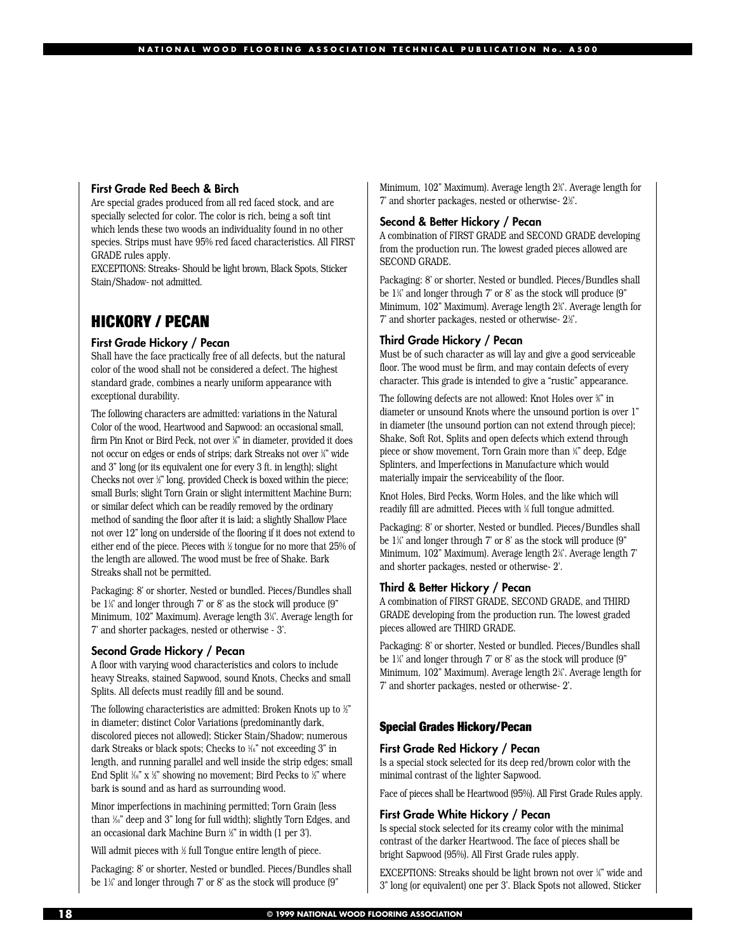#### **First Grade Red Beech & Birch**

Are special grades produced from all red faced stock, and are specially selected for color. The color is rich, being a soft tint which lends these two woods an individuality found in no other species. Strips must have 95% red faced characteristics. All FIRST GRADE rules apply.

EXCEPTIONS: Streaks- Should be light brown, Black Spots, Sticker Stain/Shadow- not admitted.

## **HICKORY / PECAN**

#### **First Grade Hickory / Pecan**

Shall have the face practically free of all defects, but the natural color of the wood shall not be considered a defect. The highest standard grade, combines a nearly uniform appearance with exceptional durability.

The following characters are admitted: variations in the Natural Color of the wood, Heartwood and Sapwood: an occasional small, firm Pin Knot or Bird Peck, not over 1 ⁄8" in diameter, provided it does not occur on edges or ends of strips; dark Streaks not over 1 ⁄4" wide and 3" long (or its equivalent one for every 3 ft. in length); slight Checks not over 1 ⁄2" long, provided Check is boxed within the piece; small Burls; slight Torn Grain or slight intermittent Machine Burn; or similar defect which can be readily removed by the ordinary method of sanding the floor after it is laid; a slightly Shallow Place not over 12" long on underside of the flooring if it does not extend to either end of the piece. Pieces with 1 ⁄2 tongue for no more that 25% of the length are allowed. The wood must be free of Shake. Bark Streaks shall not be permitted.

Packaging: 8' or shorter, Nested or bundled. Pieces/Bundles shall be 11 ⁄4' and longer through 7' or 8' as the stock will produce (9" Minimum, 102" Maximum). Average length 31 ⁄4'. Average length for 7' and shorter packages, nested or otherwise - 3'.

#### **Second Grade Hickory / Pecan**

A floor with varying wood characteristics and colors to include heavy Streaks, stained Sapwood, sound Knots, Checks and small Splits. All defects must readily fill and be sound.

The following characteristics are admitted: Broken Knots up to 1 ⁄2" in diameter; distinct Color Variations (predominantly dark, discolored pieces not allowed); Sticker Stain/Shadow; numerous dark Streaks or black spots; Checks to 1 ⁄16" not exceeding 3" in length, and running parallel and well inside the strip edges; small End Split ¼° x ½" showing no movement; Bird Pecks to ½" where bark is sound and as hard as surrounding wood.

Minor imperfections in machining permitted; Torn Grain (less than 1 ⁄16" deep and 3" long for full width); slightly Torn Edges, and an occasional dark Machine Burn 1 ⁄2" in width (1 per 3').

Will admit pieces with 1 ⁄2 full Tongue entire length of piece.

Packaging: 8' or shorter, Nested or bundled. Pieces/Bundles shall be 1¼' and longer through 7' or 8' as the stock will produce (9"

Minimum, 102" Maximum). Average length 23 ⁄4'. Average length for 7' and shorter packages, nested or otherwise- 21 ⁄2'.

#### **Second & Better Hickory / Pecan**

A combination of FIRST GRADE and SECOND GRADE developing from the production run. The lowest graded pieces allowed are SECOND GRADE.

Packaging: 8' or shorter, Nested or bundled. Pieces/Bundles shall be 11 ⁄4' and longer through 7' or 8' as the stock will produce (9" Minimum, 102" Maximum). Average length 23 ⁄4'. Average length for 7' and shorter packages, nested or otherwise- 21 ⁄2'.

#### **Third Grade Hickory / Pecan**

Must be of such character as will lay and give a good serviceable floor. The wood must be firm, and may contain defects of every character. This grade is intended to give a "rustic" appearance.

The following defects are not allowed: Knot Holes over ¾" in diameter or unsound Knots where the unsound portion is over 1" in diameter (the unsound portion can not extend through piece); Shake, Soft Rot, Splits and open defects which extend through piece or show movement, Torn Grain more than 1 ⁄4" deep, Edge Splinters, and Imperfections in Manufacture which would materially impair the serviceability of the floor.

Knot Holes, Bird Pecks, Worm Holes, and the like which will readily fill are admitted. Pieces with 1 ⁄4 full tongue admitted.

Packaging: 8' or shorter, Nested or bundled. Pieces/Bundles shall be 11 ⁄4' and longer through 7' or 8' as the stock will produce (9" Minimum, 102" Maximum). Average length 2¼'. Average length 7' and shorter packages, nested or otherwise- 2'.

#### **Third & Better Hickory / Pecan**

A combination of FIRST GRADE, SECOND GRADE, and THIRD GRADE developing from the production run. The lowest graded pieces allowed are THIRD GRADE.

Packaging: 8' or shorter, Nested or bundled. Pieces/Bundles shall be 11 ⁄4' and longer through 7' or 8' as the stock will produce (9" Minimum, 102" Maximum). Average length 21 ⁄4'. Average length for 7' and shorter packages, nested or otherwise- 2'.

#### **Special Grades Hickory/Pecan**

#### **First Grade Red Hickory / Pecan**

Is a special stock selected for its deep red/brown color with the minimal contrast of the lighter Sapwood.

Face of pieces shall be Heartwood (95%). All First Grade Rules apply.

#### **First Grade White Hickory / Pecan**

Is special stock selected for its creamy color with the minimal contrast of the darker Heartwood. The face of pieces shall be bright Sapwood (95%). All First Grade rules apply.

EXCEPTIONS: Streaks should be light brown not over 1 ⁄4" wide and 3" long (or equivalent) one per 3'. Black Spots not allowed, Sticker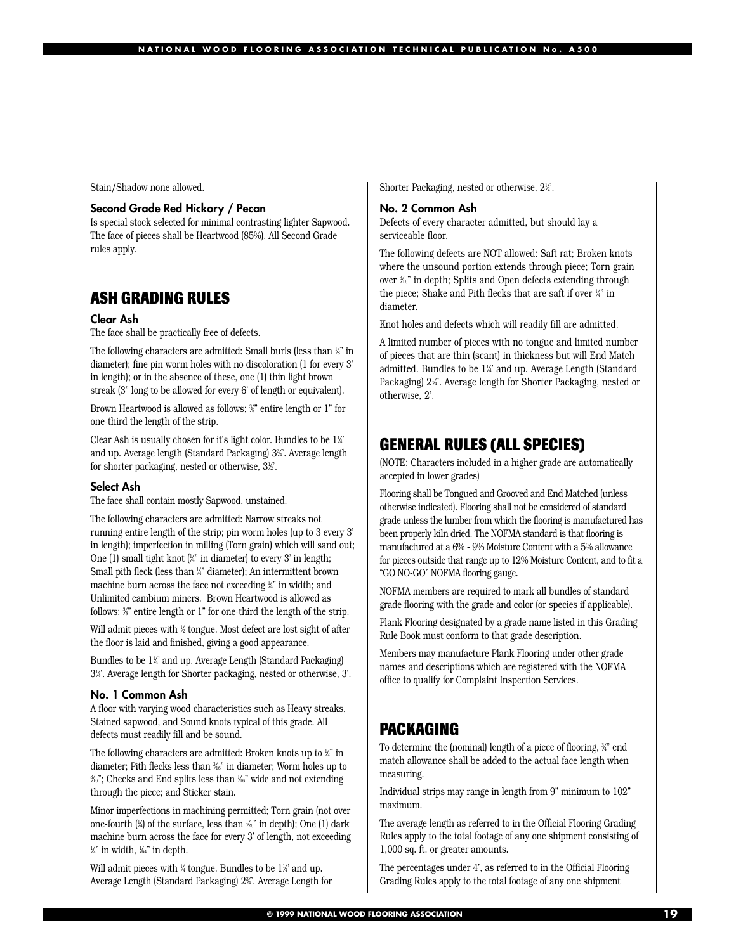Stain/Shadow none allowed.

#### **Second Grade Red Hickory / Pecan**

Is special stock selected for minimal contrasting lighter Sapwood. The face of pieces shall be Heartwood (85%). All Second Grade rules apply.

## **ASH GRADING RULES**

#### **Clear Ash**

The face shall be practically free of defects.

The following characters are admitted: Small burls (less than 1 ⁄8" in diameter); fine pin worm holes with no discoloration (1 for every 3' in length); or in the absence of these, one (1) thin light brown streak (3" long to be allowed for every 6' of length or equivalent).

Brown Heartwood is allowed as follows;  $\%$  entire length or 1" for one-third the length of the strip.

Clear Ash is usually chosen for it's light color. Bundles to be 11 ⁄4' and up. Average length (Standard Packaging) 33 ⁄4'. Average length for shorter packaging, nested or otherwise, 31 ⁄2'.

#### **Select Ash**

The face shall contain mostly Sapwood, unstained.

The following characters are admitted: Narrow streaks not running entire length of the strip; pin worm holes (up to 3 every 3' in length); imperfection in milling (Torn grain) which will sand out; One (1) small tight knot (1 ⁄4" in diameter) to every 3' in length; Small pith fleck (less than 1 ⁄4" diameter); An intermittent brown machine burn across the face not exceeding 1 ⁄4" in width; and Unlimited cambium miners. Brown Heartwood is allowed as follows: ¾" entire length or 1" for one-third the length of the strip.

Will admit pieces with 1 ⁄2 tongue. Most defect are lost sight of after the floor is laid and finished, giving a good appearance.

Bundles to be 1¼ and up. Average Length (Standard Packaging) 31 ⁄4'. Average length for Shorter packaging, nested or otherwise, 3'.

#### **No. 1 Common Ash**

A floor with varying wood characteristics such as Heavy streaks, Stained sapwood, and Sound knots typical of this grade. All defects must readily fill and be sound.

The following characters are admitted: Broken knots up to 1 ⁄2" in diameter; Pith flecks less than 3 ⁄16" in diameter; Worm holes up to 3 ⁄16"; Checks and End splits less than 1 ⁄16" wide and not extending through the piece; and Sticker stain.

Minor imperfections in machining permitted; Torn grain (not over one-fourth (1 ⁄4) of the surface, less than 1 ⁄26" in depth); One (1) dark machine burn across the face for every 3' of length, not exceeding  $\frac{1}{2}$ " in width,  $\frac{1}{6}$ 4" in depth.

Will admit pieces with ¼ tongue. Bundles to be 1¼ and up. Average Length (Standard Packaging) 2¾'. Average Length for Shorter Packaging, nested or otherwise, 21 ⁄2'.

#### **No. 2 Common Ash**

Defects of every character admitted, but should lay a serviceable floor.

The following defects are NOT allowed: Saft rat; Broken knots where the unsound portion extends through piece; Torn grain over 3 ⁄16" in depth; Splits and Open defects extending through the piece; Shake and Pith flecks that are saft if over ¼" in diameter.

Knot holes and defects which will readily fill are admitted.

A limited number of pieces with no tongue and limited number of pieces that are thin (scant) in thickness but will End Match admitted. Bundles to be 11 ⁄4' and up. Average Length (Standard Packaging) 21 ⁄4'. Average length for Shorter Packaging, nested or otherwise, 2'.

### **GENERAL RULES (ALL SPECIES)**

(NOTE: Characters included in a higher grade are automatically accepted in lower grades)

Flooring shall be Tongued and Grooved and End Matched (unless otherwise indicated). Flooring shall not be considered of standard grade unless the lumber from which the flooring is manufactured has been properly kiln dried. The NOFMA standard is that flooring is manufactured at a 6% - 9% Moisture Content with a 5% allowance for pieces outside that range up to 12% Moisture Content, and to fit a "GO NO-GO" NOFMA flooring gauge.

NOFMA members are required to mark all bundles of standard grade flooring with the grade and color (or species if applicable).

Plank Flooring designated by a grade name listed in this Grading Rule Book must conform to that grade description.

Members may manufacture Plank Flooring under other grade names and descriptions which are registered with the NOFMA office to qualify for Complaint Inspection Services.

## **PACKAGING**

To determine the (nominal) length of a piece of flooring, ¾" end match allowance shall be added to the actual face length when measuring.

Individual strips may range in length from 9" minimum to 102" maximum.

The average length as referred to in the Official Flooring Grading Rules apply to the total footage of any one shipment consisting of 1,000 sq. ft. or greater amounts.

The percentages under 4', as referred to in the Official Flooring Grading Rules apply to the total footage of any one shipment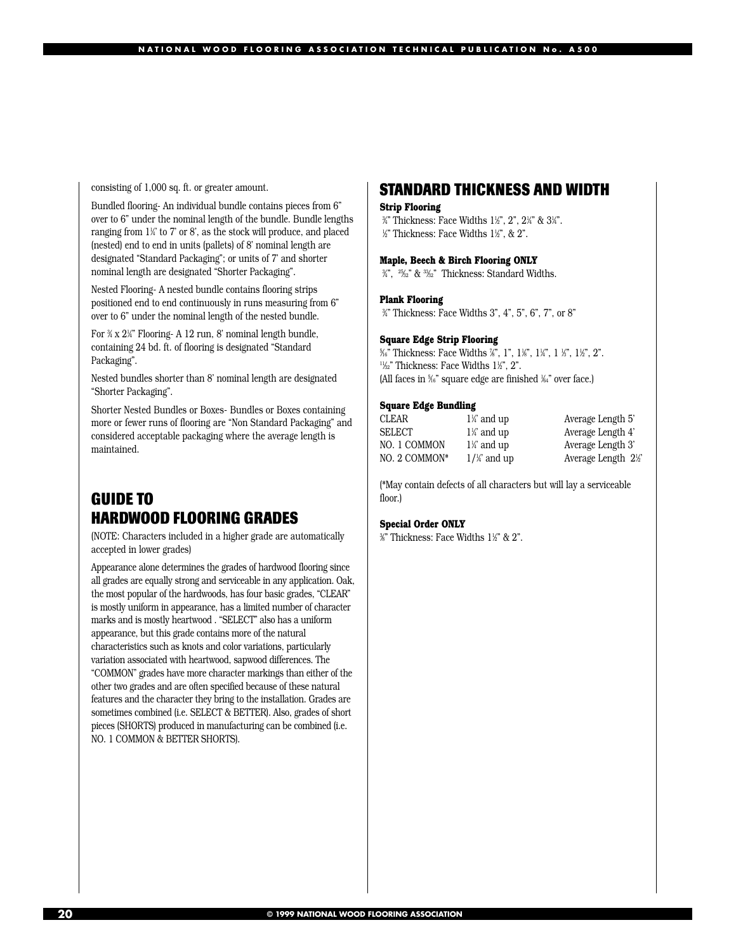consisting of 1,000 sq. ft. or greater amount.

Bundled flooring- An individual bundle contains pieces from 6" over to 6" under the nominal length of the bundle. Bundle lengths ranging from 1¼ to 7' or 8', as the stock will produce, and placed (nested) end to end in units (pallets) of 8' nominal length are designated "Standard Packaging"; or units of 7' and shorter nominal length are designated "Shorter Packaging".

Nested Flooring- A nested bundle contains flooring strips positioned end to end continuously in runs measuring from 6" over to 6" under the nominal length of the nested bundle.

For  $\frac{3}{4}$  x 2¼" Flooring- A 12 run, 8' nominal length bundle, containing 24 bd. ft. of flooring is designated "Standard Packaging".

Nested bundles shorter than 8' nominal length are designated "Shorter Packaging".

Shorter Nested Bundles or Boxes- Bundles or Boxes containing more or fewer runs of flooring are "Non Standard Packaging" and considered acceptable packaging where the average length is maintained.

### **GUIDE TO HARDWOOD FLOORING GRADES**

(NOTE: Characters included in a higher grade are automatically accepted in lower grades)

Appearance alone determines the grades of hardwood flooring since all grades are equally strong and serviceable in any application. Oak, the most popular of the hardwoods, has four basic grades, "CLEAR" is mostly uniform in appearance, has a limited number of character marks and is mostly heartwood . "SELECT" also has a uniform appearance, but this grade contains more of the natural characteristics such as knots and color variations, particularly variation associated with heartwood, sapwood differences. The "COMMON" grades have more character markings than either of the other two grades and are often specified because of these natural features and the character they bring to the installation. Grades are sometimes combined (i.e. SELECT & BETTER). Also, grades of short pieces (SHORTS) produced in manufacturing can be combined (i.e. NO. 1 COMMON & BETTER SHORTS).

### **STANDARD THICKNESS AND WIDTH**

#### **Strip Flooring**

%" Thickness: Face Widths 1½", 2", 2¼" & 3¼". %" Thickness: Face Widths 1½", & 2".

#### **Maple, Beech & Birch Flooring ONLY**

3 ⁄4", 25⁄32" & 33⁄32" Thickness: Standard Widths.

#### **Plank Flooring**

3 ⁄4" Thickness: Face Widths 3", 4", 5", 6", 7", or 8"

#### **Square Edge Strip Flooring**

%" Thickness: Face Widths %", 1", 1%", 1¼", 1½", 1½", 2".  $\frac{11}{22}$ " Thickness: Face Widths 1½", 2". (All faces in 5 ⁄16" square edge are finished 1 ⁄64" over face.)

#### **Square Edge Bundling**

| CLEAR         | $1\frac{1}{4}$ a |
|---------------|------------------|
| SELECT        | $1\frac{1}{4}$ a |
| NO. 1 COMMON  | $1\frac{1}{4}$ a |
| NO. 2 COMMON* | $1/\frac{1}{4}$  |

⁄4' and up Average Length 5' ⁄4' and up Average Length 4' ⁄4' and up Average Length 3' ⁄4' and up Average Length 21 ⁄2'

(\*May contain defects of all characters but will lay a serviceable floor.)

#### **Special Order ONLY**

%" Thickness: Face Widths 1½" & 2".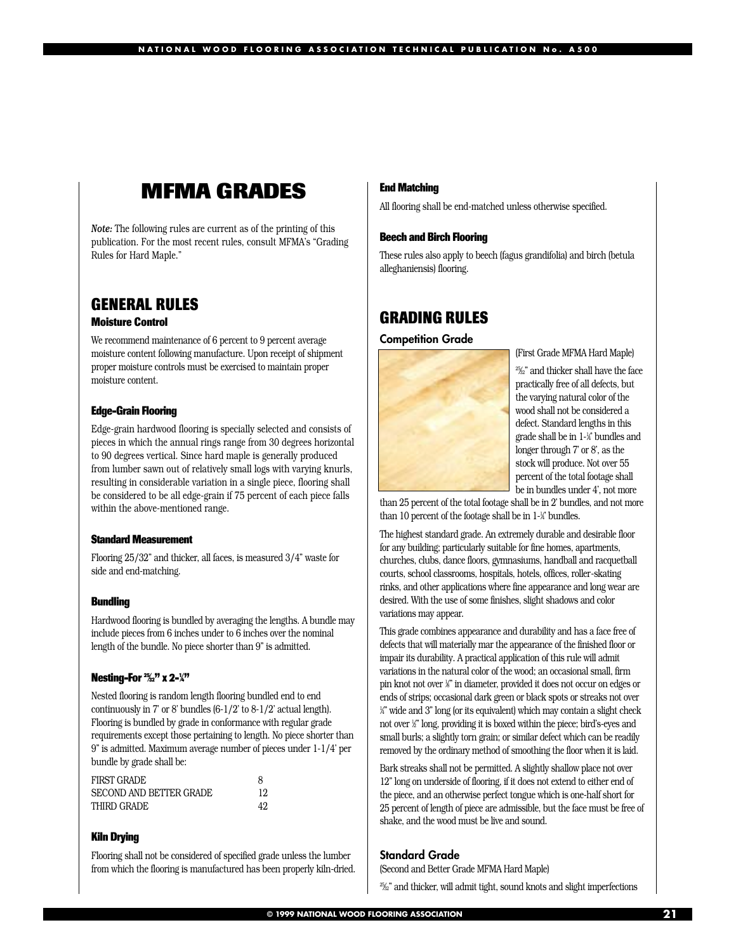## **MFMA GRADES**

*Note:* The following rules are current as of the printing of this publication. For the most recent rules, consult MFMA's "Grading Rules for Hard Maple."

### **GENERAL RULES**

#### **Moisture Control**

We recommend maintenance of 6 percent to 9 percent average moisture content following manufacture. Upon receipt of shipment proper moisture controls must be exercised to maintain proper moisture content.

#### **Edge-Grain Flooring**

Edge-grain hardwood flooring is specially selected and consists of pieces in which the annual rings range from 30 degrees horizontal to 90 degrees vertical. Since hard maple is generally produced from lumber sawn out of relatively small logs with varying knurls, resulting in considerable variation in a single piece, flooring shall be considered to be all edge-grain if 75 percent of each piece falls within the above-mentioned range.

#### **Standard Measurement**

Flooring 25/32" and thicker, all faces, is measured 3/4" waste for side and end-matching.

#### **Bundling**

Hardwood flooring is bundled by averaging the lengths. A bundle may include pieces from 6 inches under to 6 inches over the nominal length of the bundle. No piece shorter than 9" is admitted.

#### **Nesting-For**  $\frac{25}{32}$ **" x 2-** $\frac{1}{4}$ **"**

Nested flooring is random length flooring bundled end to end continuously in 7' or 8' bundles (6-1/2' to 8-1/2' actual length). Flooring is bundled by grade in conformance with regular grade requirements except those pertaining to length. No piece shorter than 9" is admitted. Maximum average number of pieces under 1-1/4' per bundle by grade shall be:

| <b>FIRST GRADE</b>      | 8   |
|-------------------------|-----|
| SECOND AND BETTER GRADE | 12  |
| THIRD GRADE             | 49. |

#### **Kiln Drying**

Flooring shall not be considered of specified grade unless the lumber from which the flooring is manufactured has been properly kiln-dried.

#### **End Matching**

All flooring shall be end-matched unless otherwise specified.

#### **Beech and Birch Flooring**

These rules also apply to beech (fagus grandifolia) and birch (betula alleghaniensis) flooring.

### **GRADING RULES**

**Competition Grade** 



(First Grade MFMA Hard Maple)

25⁄32" and thicker shall have the face practically free of all defects, but the varying natural color of the wood shall not be considered a defect. Standard lengths in this grade shall be in 1-1 ⁄4' bundles and longer through 7' or 8', as the stock will produce. Not over 55 percent of the total footage shall be in bundles under 4', not more

than 25 percent of the total footage shall be in 2' bundles, and not more than 10 percent of the footage shall be in 1-¼ bundles.

The highest standard grade. An extremely durable and desirable floor for any building; particularly suitable for fine homes, apartments, churches, clubs, dance floors, gymnasiums, handball and racquetball courts, school classrooms, hospitals, hotels, offices, roller-skating rinks, and other applications where fine appearance and long wear are desired. With the use of some finishes, slight shadows and color variations may appear.

This grade combines appearance and durability and has a face free of defects that will materially mar the appearance of the finished floor or impair its durability. A practical application of this rule will admit variations in the natural color of the wood; an occasional small, firm pin knot not over 1 ⁄8" in diameter, provided it does not occur on edges or ends of strips; occasional dark green or black spots or streaks not over 1 ⁄4" wide and 3" long (or its equivalent) which may contain a slight check not over 1 ⁄2" long, providing it is boxed within the piece; bird's-eyes and small burls; a slightly torn grain; or similar defect which can be readily removed by the ordinary method of smoothing the floor when it is laid.

Bark streaks shall not be permitted. A slightly shallow place not over 12" long on underside of flooring, if it does not extend to either end of the piece, and an otherwise perfect tongue which is one-half short for 25 percent of length of piece are admissible, but the face must be free of shake, and the wood must be live and sound.

#### **Standard Grade**

(Second and Better Grade MFMA Hard Maple)

<sup>2</sup>%<sup>2</sup> and thicker, will admit tight, sound knots and slight imperfections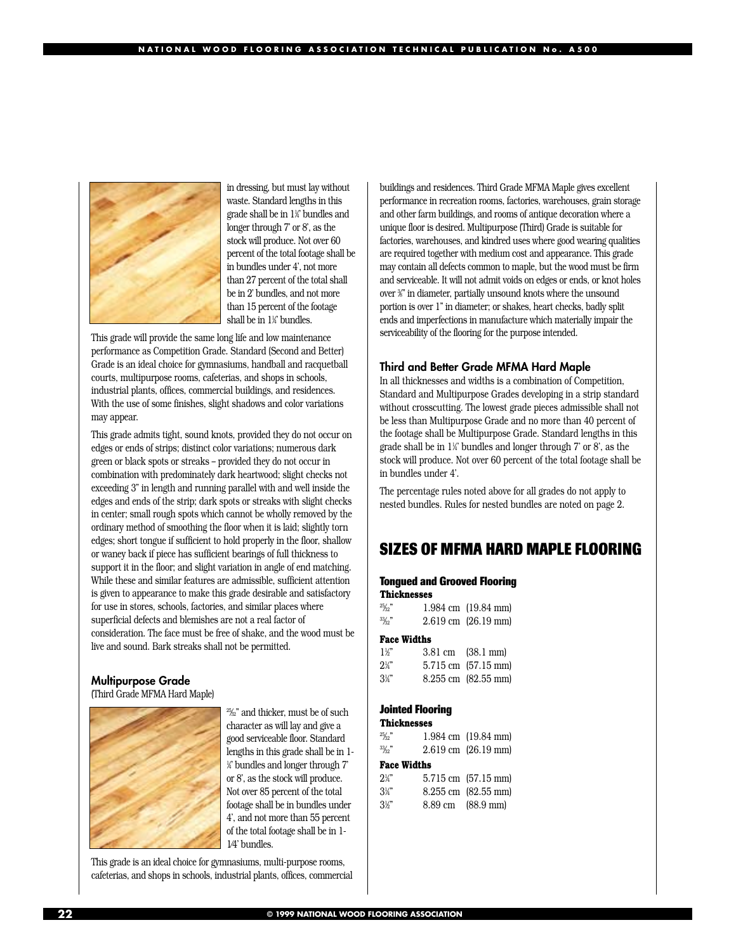

in dressing, but must lay without waste. Standard lengths in this grade shall be in 11 ⁄4' bundles and longer through 7' or 8', as the stock will produce. Not over 60 percent of the total footage shall be in bundles under 4', not more than 27 percent of the total shall be in 2' bundles, and not more than 15 percent of the footage shall be in 1¼' bundles.

This grade will provide the same long life and low maintenance performance as Competition Grade. Standard (Second and Better) Grade is an ideal choice for gymnasiums, handball and racquetball courts, multipurpose rooms, cafeterias, and shops in schools, industrial plants, offices, commercial buildings, and residences. With the use of some finishes, slight shadows and color variations may appear.

This grade admits tight, sound knots, provided they do not occur on edges or ends of strips; distinct color variations; numerous dark green or black spots or streaks – provided they do not occur in combination with predominately dark heartwood; slight checks not exceeding 3" in length and running parallel with and well inside the edges and ends of the strip; dark spots or streaks with slight checks in center; small rough spots which cannot be wholly removed by the ordinary method of smoothing the floor when it is laid; slightly torn edges; short tongue if sufficient to hold properly in the floor, shallow or waney back if piece has sufficient bearings of full thickness to support it in the floor; and slight variation in angle of end matching. While these and similar features are admissible, sufficient attention is given to appearance to make this grade desirable and satisfactory for use in stores, schools, factories, and similar places where superficial defects and blemishes are not a real factor of consideration. The face must be free of shake, and the wood must be live and sound. Bark streaks shall not be permitted.

### **Multipurpose Grade**

(Third Grade MFMA Hard Maple)



25⁄32" and thicker, must be of such character as will lay and give a good serviceable floor. Standard lengths in this grade shall be in 1- 1 ⁄4' bundles and longer through 7' or 8', as the stock will produce. Not over 85 percent of the total footage shall be in bundles under 4', and not more than 55 percent of the total footage shall be in 1- 1⁄4' bundles.

This grade is an ideal choice for gymnasiums, multi-purpose rooms, cafeterias, and shops in schools, industrial plants, offices, commercial buildings and residences. Third Grade MFMA Maple gives excellent performance in recreation rooms, factories, warehouses, grain storage and other farm buildings, and rooms of antique decoration where a unique floor is desired. Multipurpose (Third) Grade is suitable for factories, warehouses, and kindred uses where good wearing qualities are required together with medium cost and appearance. This grade may contain all defects common to maple, but the wood must be firm and serviceable. It will not admit voids on edges or ends, or knot holes over 3 ⁄8" in diameter, partially unsound knots where the unsound portion is over 1" in diameter; or shakes, heart checks, badly split ends and imperfections in manufacture which materially impair the serviceability of the flooring for the purpose intended.

#### **Third and Better Grade MFMA Hard Maple**

In all thicknesses and widths is a combination of Competition, Standard and Multipurpose Grades developing in a strip standard without crosscutting. The lowest grade pieces admissible shall not be less than Multipurpose Grade and no more than 40 percent of the footage shall be Multipurpose Grade. Standard lengths in this grade shall be in 11 ⁄4' bundles and longer through 7' or 8', as the stock will produce. Not over 60 percent of the total footage shall be in bundles under 4'.

The percentage rules noted above for all grades do not apply to nested bundles. Rules for nested bundles are noted on page 2.

### **SIZES OF MFMA HARD MAPLE FLOORING**

#### **Tongued and Grooved Flooring Thicknesses**

| $\frac{25}{22}$ | $1.984$ cm $(19.84$ mm        |
|-----------------|-------------------------------|
| 33/32"          | $2.619 \text{ cm}$ (26.19 mm) |

#### **Face Widths**

| $1\frac{1}{2}$ | 3.81 cm (38.1 mm)             |
|----------------|-------------------------------|
| $2\frac{1}{4}$ | $5.715 \text{ cm}$ (57.15 mm) |
| $3\frac{1}{2}$ | $8.255$ cm $(82.55$ mm        |

#### **Jointed Flooring**

| Thicknesses     |                               |
|-----------------|-------------------------------|
| $\frac{25}{32}$ | $1.984$ cm $(19.84$ mm        |
| 33/27           | $2.619 \text{ cm}$ (26.19 mm) |
| Face Widths     |                               |
| $2\%$           | $5.715$ cm $(57.15$ mm)       |

| $3\frac{1}{3}$ | 8.255 cm (82.55 mm) |
|----------------|---------------------|
| 3k''           | 8.89 cm (88.9 mm)   |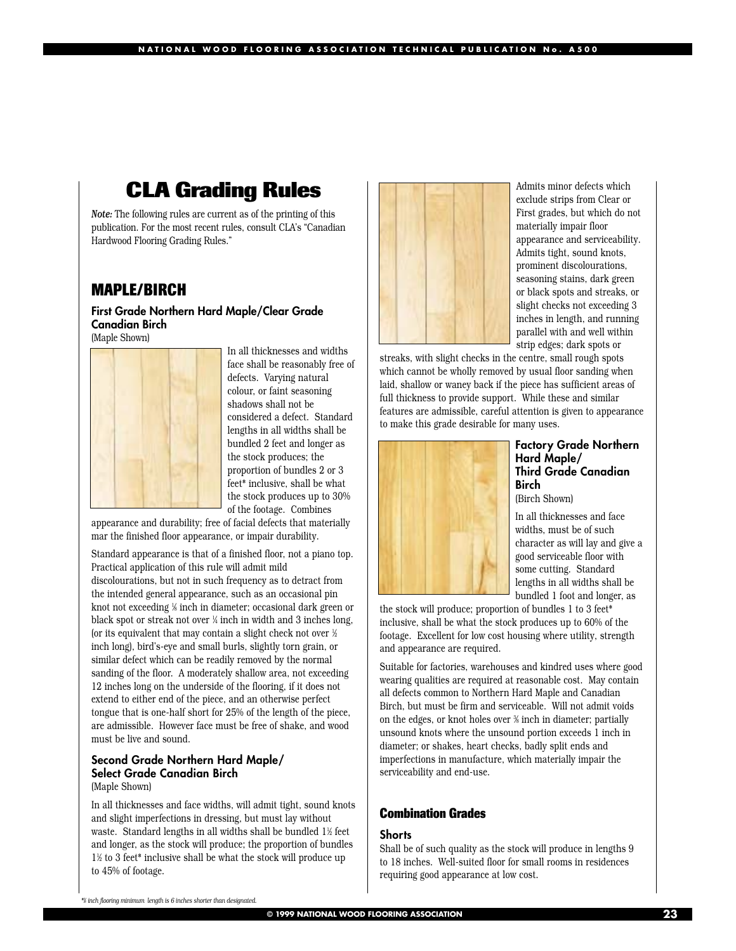## **CLA Grading Rules**

*Note:* The following rules are current as of the printing of this publication. For the most recent rules, consult CLA's "Canadian Hardwood Flooring Grading Rules."

### **MAPLE/BIRCH**

#### **First Grade Northern Hard Maple/Clear Grade Canadian Birch** (Maple Shown)



In all thicknesses and widths face shall be reasonably free of defects. Varying natural colour, or faint seasoning shadows shall not be considered a defect. Standard lengths in all widths shall be bundled 2 feet and longer as the stock produces; the proportion of bundles 2 or 3 feet\* inclusive, shall be what the stock produces up to 30% of the footage. Combines

appearance and durability; free of facial defects that materially mar the finished floor appearance, or impair durability.

Standard appearance is that of a finished floor, not a piano top. Practical application of this rule will admit mild discolourations, but not in such frequency as to detract from the intended general appearance, such as an occasional pin knot not exceeding 1 ⁄8 inch in diameter; occasional dark green or black spot or streak not over 1 ⁄4 inch in width and 3 inches long, (or its equivalent that may contain a slight check not over  $\not\!\!z$ inch long), bird's-eye and small burls, slightly torn grain, or similar defect which can be readily removed by the normal sanding of the floor. A moderately shallow area, not exceeding 12 inches long on the underside of the flooring, if it does not extend to either end of the piece, and an otherwise perfect tongue that is one-half short for 25% of the length of the piece, are admissible. However face must be free of shake, and wood must be live and sound.

#### **Second Grade Northern Hard Maple/ Select Grade Canadian Birch** (Maple Shown)

In all thicknesses and face widths, will admit tight, sound knots and slight imperfections in dressing, but must lay without waste. Standard lengths in all widths shall be bundled 1½ teet and longer, as the stock will produce; the proportion of bundles 11 ⁄2 to 3 feet\* inclusive shall be what the stock will produce up to 45% of footage.



Admits minor defects which exclude strips from Clear or First grades, but which do not materially impair floor appearance and serviceability. Admits tight, sound knots, prominent discolourations, seasoning stains, dark green or black spots and streaks, or slight checks not exceeding 3 inches in length, and running parallel with and well within strip edges; dark spots or

streaks, with slight checks in the centre, small rough spots which cannot be wholly removed by usual floor sanding when laid, shallow or waney back if the piece has sufficient areas of full thickness to provide support. While these and similar features are admissible, careful attention is given to appearance to make this grade desirable for many uses.



#### **Factory Grade Northern Hard Maple/ Third Grade Canadian Birch**

(Birch Shown)

In all thicknesses and face widths, must be of such character as will lay and give a good serviceable floor with some cutting. Standard lengths in all widths shall be bundled 1 foot and longer, as

the stock will produce; proportion of bundles 1 to 3 feet\* inclusive, shall be what the stock produces up to 60% of the footage. Excellent for low cost housing where utility, strength and appearance are required.

Suitable for factories, warehouses and kindred uses where good wearing qualities are required at reasonable cost. May contain all defects common to Northern Hard Maple and Canadian Birch, but must be firm and serviceable. Will not admit voids on the edges, or knot holes over % inch in diameter; partially unsound knots where the unsound portion exceeds 1 inch in diameter; or shakes, heart checks, badly split ends and imperfections in manufacture, which materially impair the serviceability and end-use.

#### **Combination Grades**

#### **Shorts**

Shall be of such quality as the stock will produce in lengths 9 to 18 inches. Well-suited floor for small rooms in residences requiring good appearance at low cost.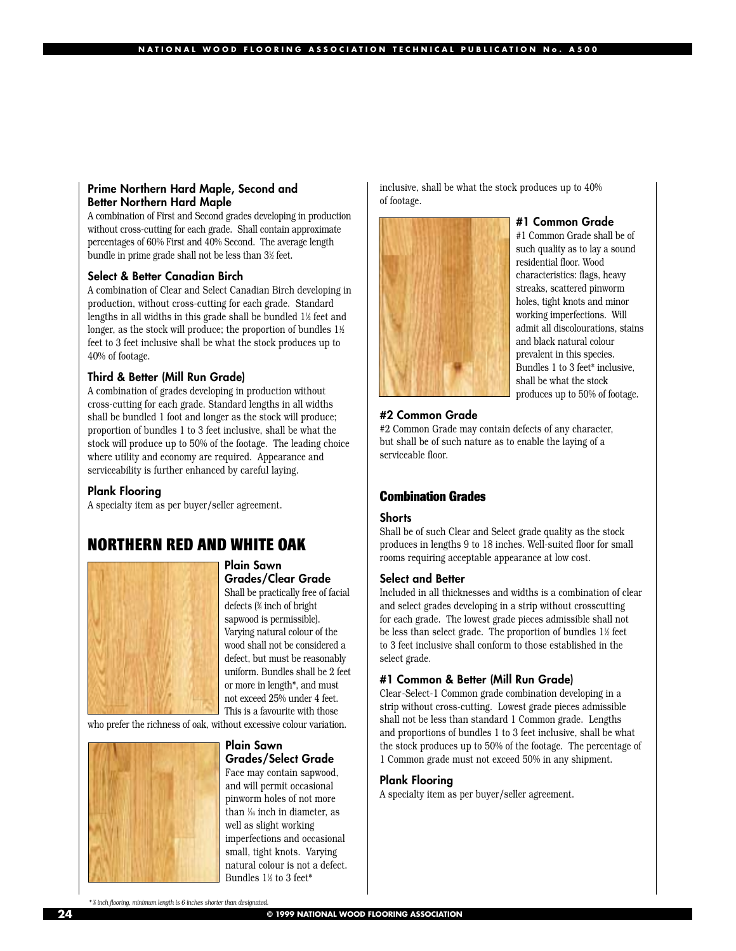#### **Prime Northern Hard Maple, Second and Better Northern Hard Maple**

A combination of First and Second grades developing in production without cross-cutting for each grade. Shall contain approximate percentages of 60% First and 40% Second. The average length bundle in prime grade shall not be less than 31 ⁄2 feet.

#### **Select & Better Canadian Birch**

A combination of Clear and Select Canadian Birch developing in production, without cross-cutting for each grade. Standard lengths in all widths in this grade shall be bundled 11 ⁄2 feet and longer, as the stock will produce; the proportion of bundles  $1\%$ feet to 3 feet inclusive shall be what the stock produces up to 40% of footage.

#### **Third & Better (Mill Run Grade)**

A combination of grades developing in production without cross-cutting for each grade. Standard lengths in all widths shall be bundled 1 foot and longer as the stock will produce; proportion of bundles 1 to 3 feet inclusive, shall be what the stock will produce up to 50% of the footage. The leading choice where utility and economy are required. Appearance and serviceability is further enhanced by careful laying.

#### **Plank Flooring**

A specialty item as per buyer/seller agreement.

### **NORTHERN RED AND WHITE OAK**



#### **Plain Sawn Grades/Clear Grade**

Shall be practically free of facial defects (3 ⁄8 inch of bright sapwood is permissible). Varying natural colour of the wood shall not be considered a defect, but must be reasonably uniform. Bundles shall be 2 feet or more in length\*, and must not exceed 25% under 4 feet. This is a favourite with those

who prefer the richness of oak, without excessive colour variation.



#### **Plain Sawn Grades/Select Grade**

Face may contain sapwood, and will permit occasional pinworm holes of not more than 1 ⁄16 inch in diameter, as well as slight working imperfections and occasional small, tight knots. Varying natural colour is not a defect. Bundles 1½ to 3 feet\*

inclusive, shall be what the stock produces up to 40% of footage.



#### **#1 Common Grade**

#1 Common Grade shall be of such quality as to lay a sound residential floor. Wood characteristics: flags, heavy streaks, scattered pinworm holes, tight knots and minor working imperfections. Will admit all discolourations, stains and black natural colour prevalent in this species. Bundles 1 to 3 feet\* inclusive, shall be what the stock produces up to 50% of footage.

#### **#2 Common Grade**

#2 Common Grade may contain defects of any character, but shall be of such nature as to enable the laying of a serviceable floor.

#### **Combination Grades**

#### **Shorts**

Shall be of such Clear and Select grade quality as the stock produces in lengths 9 to 18 inches. Well-suited floor for small rooms requiring acceptable appearance at low cost.

#### **Select and Better**

Included in all thicknesses and widths is a combination of clear and select grades developing in a strip without crosscutting for each grade. The lowest grade pieces admissible shall not be less than select grade. The proportion of bundles 1½ feet to 3 feet inclusive shall conform to those established in the select grade.

#### **#1 Common & Better (Mill Run Grade)**

Clear-Select-1 Common grade combination developing in a strip without cross-cutting. Lowest grade pieces admissible shall not be less than standard 1 Common grade. Lengths and proportions of bundles 1 to 3 feet inclusive, shall be what the stock produces up to 50% of the footage. The percentage of 1 Common grade must not exceed 50% in any shipment.

#### **Plank Flooring**

A specialty item as per buyer/seller agreement.

*\* 3 8⁄ inch flooring, minimum length is 6 inches shorter than designated.*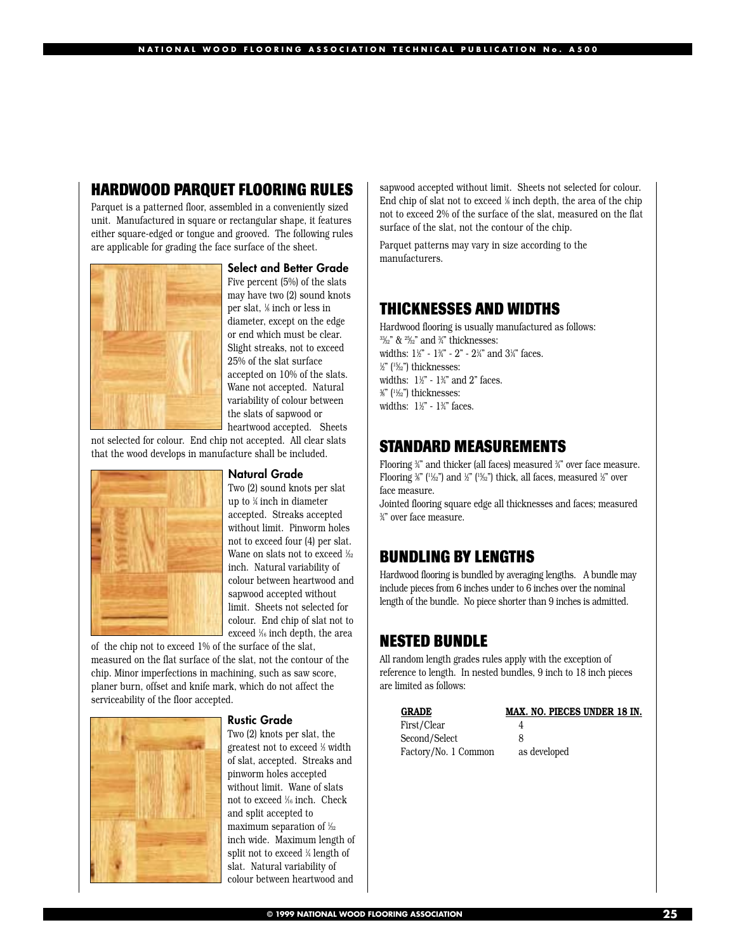## **HARDWOOD PARQUET FLOORING RULES**

Parquet is a patterned floor, assembled in a conveniently sized unit. Manufactured in square or rectangular shape, it features either square-edged or tongue and grooved. The following rules are applicable for grading the face surface of the sheet.



**Select and Better Grade** Five percent (5%) of the slats may have two (2) sound knots per slat, 1 ⁄8 inch or less in diameter, except on the edge or end which must be clear. Slight streaks, not to exceed 25% of the slat surface accepted on 10% of the slats. Wane not accepted. Natural variability of colour between the slats of sapwood or heartwood accepted. Sheets

not selected for colour. End chip not accepted. All clear slats that the wood develops in manufacture shall be included.



#### **Natural Grade**

Two (2) sound knots per slat up to 1 ⁄4 inch in diameter accepted. Streaks accepted without limit. Pinworm holes not to exceed four (4) per slat. Wane on slats not to exceed ½2 inch. Natural variability of colour between heartwood and sapwood accepted without limit. Sheets not selected for colour. End chip of slat not to exceed 1 ⁄16 inch depth, the area

of the chip not to exceed 1% of the surface of the slat, measured on the flat surface of the slat, not the contour of the chip. Minor imperfections in machining, such as saw score, planer burn, offset and knife mark, which do not affect the serviceability of the floor accepted.



#### **Rustic Grade**

Two (2) knots per slat, the greatest not to exceed ½ width of slat, accepted. Streaks and pinworm holes accepted without limit. Wane of slats not to exceed 1 ⁄16 inch. Check and split accepted to maximum separation of  $\frac{1}{2}$ inch wide. Maximum length of split not to exceed ¼ length of slat. Natural variability of colour between heartwood and

sapwood accepted without limit. Sheets not selected for colour. End chip of slat not to exceed 1 ⁄8 inch depth, the area of the chip not to exceed 2% of the surface of the slat, measured on the flat surface of the slat, not the contour of the chip.

Parquet patterns may vary in size according to the manufacturers.

#### **THICKNESSES AND WIDTHS**

Hardwood flooring is usually manufactured as follows: <sup>33</sup>⁄2" & <sup>25</sup>⁄2" and ¾" thicknesses: widths: 1½" - 1¾" - 2" - 2¼" and 3¼" faces. 1 ⁄2" (15⁄32") thicknesses: widths: 1½" - 1¾" and 2" faces. 3 ⁄8" (11⁄32") thicknesses: widths: 1½" - 1¾" faces.

#### **STANDARD MEASUREMENTS**

Flooring ¾" and thicker (all faces) measured ¾" over face measure. Flooring  $\frac{26}{3}$  ( $\frac{1}{2}$ ) and  $\frac{1}{2}$ " ( $\frac{1}{2}$ ) thick, all faces, measured  $\frac{1}{2}$ " over face measure.

Jointed flooring square edge all thicknesses and faces; measured 3 ⁄4" over face measure.

### **BUNDLING BY LENGTHS**

Hardwood flooring is bundled by averaging lengths. A bundle may include pieces from 6 inches under to 6 inches over the nominal length of the bundle. No piece shorter than 9 inches is admitted.

#### **NESTED BUNDLE**

All random length grades rules apply with the exception of reference to length. In nested bundles, 9 inch to 18 inch pieces are limited as follows:

| <b>GRADE</b>         | MAX. NO. PIECES UNDER 18 IN. |
|----------------------|------------------------------|
| First/Clear          |                              |
| Second/Select        | x                            |
| Factory/No. 1 Common | as developed                 |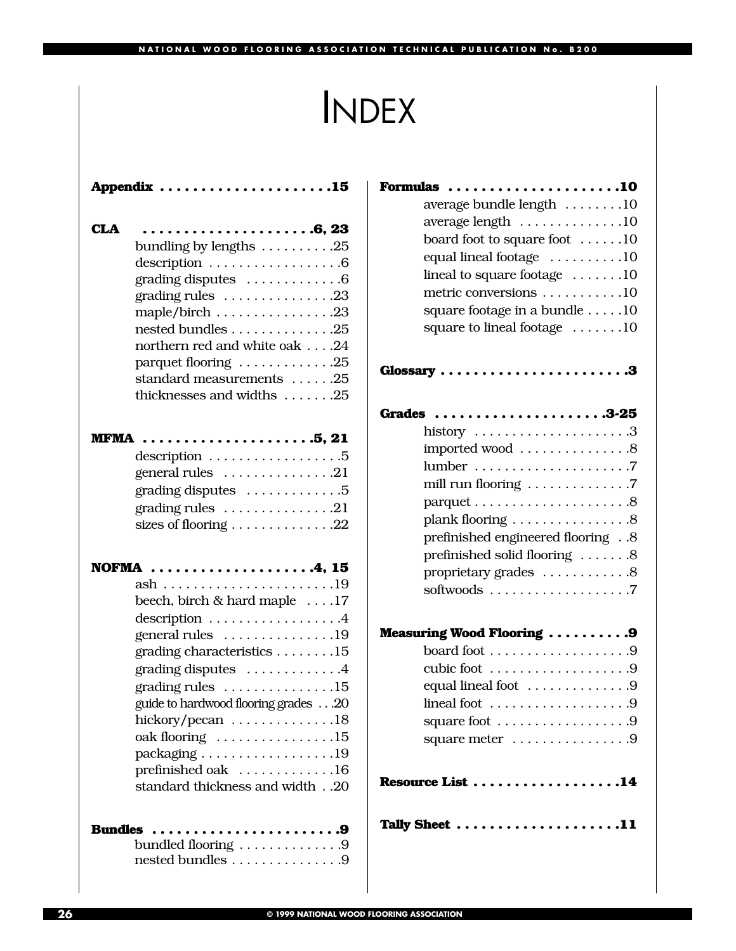## INDEX

|     | Appendix $\dots\dots\dots\dots\dots\dots\dots\dots$                   |
|-----|-----------------------------------------------------------------------|
| CLA |                                                                       |
|     | bundling by lengths 25                                                |
|     | $\text{description} \ldots \ldots \ldots \ldots \ldots \ldots \ldots$ |
|     | grading disputes $\dots \dots \dots \dots 6$                          |
|     | grading rules $\dots\dots\dots\dots\dots$ . 23                        |
|     | maple/birch 23                                                        |
|     | nested bundles 25                                                     |
|     | northern red and white oak 24                                         |
|     | parquet flooring $\dots \dots \dots \dots 25$                         |
|     | standard measurements 25                                              |
|     | thicknesses and widths 25                                             |
|     |                                                                       |
|     |                                                                       |
|     | description $\ldots \ldots \ldots \ldots \ldots .5$                   |
|     | general rules $\dots \dots \dots \dots 21$                            |
|     | grading disputes 5                                                    |
|     | grading rules $\dots \dots \dots \dots \dots 21$                      |
|     | sizes of flooring 22                                                  |
|     |                                                                       |
|     | NOFMA 4, 15                                                           |
|     |                                                                       |
|     | beech, birch $&$ hard maple $\dots$ .17                               |
|     | description $\dots\dots\dots\dots\dots4$                              |
|     | general rules 19                                                      |
|     | grading characteristics 15                                            |
|     | grading disputes 4                                                    |
|     | grading rules $\dots \dots \dots \dots \dots 15$                      |
|     | guide to hardwood flooring grades 20                                  |
|     | hickory/pecan 18                                                      |
|     | $oak$ flooring $\ldots \ldots \ldots \ldots \ldots 15$                |
|     | packaging 19                                                          |
|     | prefinished oak 16                                                    |
|     | standard thickness and width20                                        |
|     |                                                                       |
|     | Bundles<br>. 9                                                        |
|     | bundled flooring $\dots \dots \dots \dots$ .9                         |
|     | nested bundles 9                                                      |

| Formulas $\dots\dots\dots\dots\dots\dots\dots10$  |
|---------------------------------------------------|
| average bundle length 10                          |
| average length $\dots\dots\dots\dots\dots$        |
| board foot to square foot 10                      |
| equal lineal footage 10                           |
| lineal to square footage 10                       |
| metric conversions 10                             |
| square footage in a bundle 10                     |
| square to lineal footage $\dots \dots 10$         |
| Glossary 3                                        |
| Grades 3-25                                       |
| history $\dots\dots\dots\dots\dots\dots\dots$     |
| imported wood 8                                   |
|                                                   |
| mill run flooring $\dots \dots \dots \dots$ . 7   |
|                                                   |
| plank flooring 8                                  |
| prefinished engineered flooring 8                 |
| prefinished solid flooring 8                      |
| proprietary grades 8                              |
|                                                   |
| <b>Measuring Wood Flooring  9</b>                 |
|                                                   |
| cubic foot $\dots\dots\dots\dots\dots\dots9$      |
| equal lineal foot 9                               |
| lineal foot $\dots\dots\dots\dots\dots\dots9$     |
|                                                   |
| square meter 9                                    |
| Resource List $\dots\dots\dots\dots\dots\dots 14$ |
| Tally Sheet 11                                    |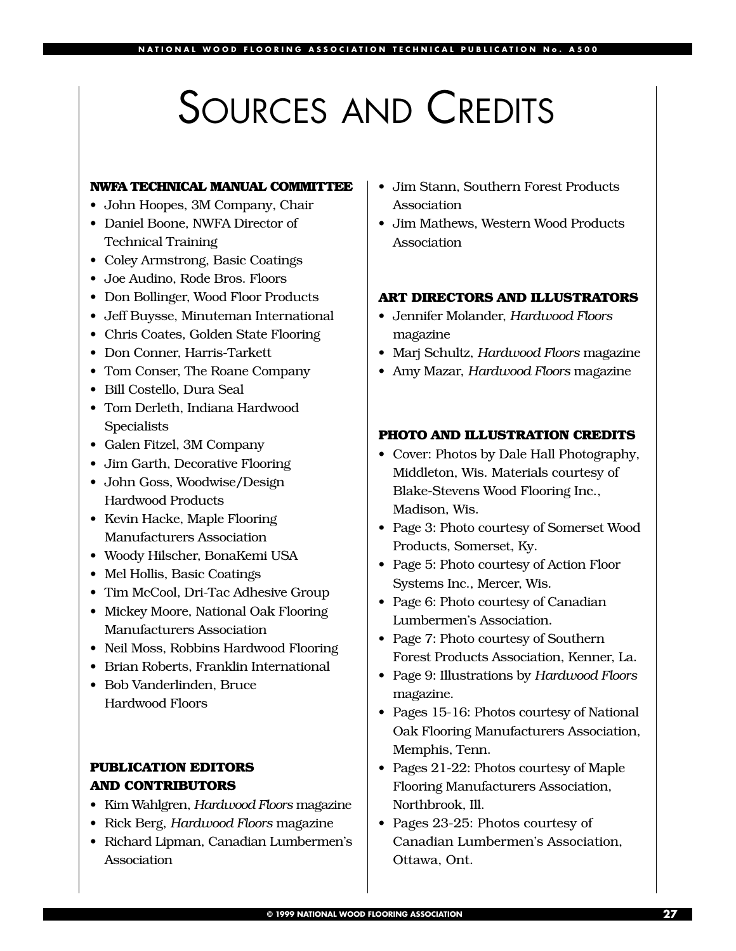## SOURCES AND CREDITS

#### **NWFA TECHNICAL MANUAL COMMITTEE**

- John Hoopes, 3M Company, Chair
- Daniel Boone, NWFA Director of Technical Training
- Coley Armstrong, Basic Coatings
- Joe Audino, Rode Bros. Floors
- Don Bollinger, Wood Floor Products
- Jeff Buysse, Minuteman International
- Chris Coates, Golden State Flooring
- Don Conner, Harris-Tarkett
- Tom Conser, The Roane Company
- Bill Costello, Dura Seal
- Tom Derleth, Indiana Hardwood Specialists
- Galen Fitzel, 3M Company
- Jim Garth, Decorative Flooring
- John Goss, Woodwise/Design Hardwood Products
- Kevin Hacke, Maple Flooring Manufacturers Association
- Woody Hilscher, BonaKemi USA
- Mel Hollis, Basic Coatings
- Tim McCool, Dri-Tac Adhesive Group
- Mickey Moore, National Oak Flooring Manufacturers Association
- Neil Moss, Robbins Hardwood Flooring
- Brian Roberts, Franklin International
- Bob Vanderlinden, Bruce Hardwood Floors

### **PUBLICATION EDITORS AND CONTRIBUTORS**

- Kim Wahlgren, *Hardwood Floors* magazine
- Rick Berg, *Hardwood Floors* magazine
- Richard Lipman, Canadian Lumbermen's Association
- Jim Stann, Southern Forest Products Association
- Jim Mathews, Western Wood Products Association

#### **ART DIRECTORS AND ILLUSTRATORS**

- Jennifer Molander, *Hardwood Floors* magazine
- Marj Schultz, *Hardwood Floors* magazine
- Amy Mazar, *Hardwood Floors* magazine

#### **PHOTO AND ILLUSTRATION CREDITS**

- Cover: Photos by Dale Hall Photography, Middleton, Wis. Materials courtesy of Blake-Stevens Wood Flooring Inc., Madison, Wis.
- Page 3: Photo courtesy of Somerset Wood Products, Somerset, Ky.
- Page 5: Photo courtesy of Action Floor Systems Inc., Mercer, Wis.
- Page 6: Photo courtesy of Canadian Lumbermen's Association.
- Page 7: Photo courtesy of Southern Forest Products Association, Kenner, La.
- Page 9: Illustrations by *Hardwood Floors* magazine.
- Pages 15-16: Photos courtesy of National Oak Flooring Manufacturers Association, Memphis, Tenn.
- Pages 21-22: Photos courtesy of Maple Flooring Manufacturers Association, Northbrook, Ill.
- Pages 23-25: Photos courtesy of Canadian Lumbermen's Association, Ottawa, Ont.